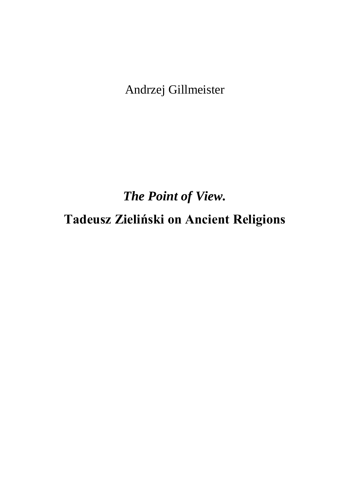Andrzej Gillmeister

*The Point of View.*  **Tadeusz Zieliński on Ancient Religions**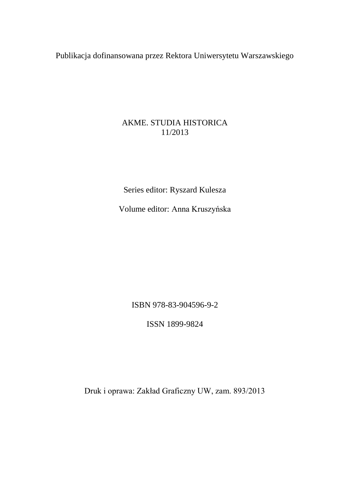Publikacja dofinansowana przez Rektora Uniwersytetu Warszawskiego

## AKME. STUDIA HISTORICA 11/2013

Series editor: Ryszard Kulesza

Volume editor: Anna Kruszyńska

ISBN 978-83-904596-9-2

ISSN 1899-9824

Druk i oprawa: Zakład Graficzny UW, zam. 893/2013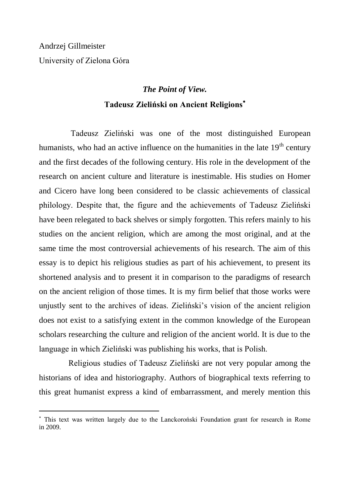j

## *The Point of View.*  **Tadeusz Zieliński on Ancient Religions**

Tadeusz Zieliński was one of the most distinguished European humanists, who had an active influence on the humanities in the late  $19<sup>th</sup>$  century and the first decades of the following century. His role in the development of the research on ancient culture and literature is inestimable. His studies on Homer and Cicero have long been considered to be classic achievements of classical philology. Despite that, the figure and the achievements of Tadeusz Zieliński have been relegated to back shelves or simply forgotten. This refers mainly to his studies on the ancient religion, which are among the most original, and at the same time the most controversial achievements of his research. The aim of this essay is to depict his religious studies as part of his achievement, to present its shortened analysis and to present it in comparison to the paradigms of research on the ancient religion of those times. It is my firm belief that those works were unjustly sent to the archives of ideas. Zieliński"s vision of the ancient religion does not exist to a satisfying extent in the common knowledge of the European scholars researching the culture and religion of the ancient world. It is due to the language in which Zieliński was publishing his works, that is Polish.

Religious studies of Tadeusz Zieliński are not very popular among the historians of idea and historiography. Authors of biographical texts referring to this great humanist express a kind of embarrassment, and merely mention this

This text was written largely due to the Lanckoroński Foundation grant for research in Rome in 2009.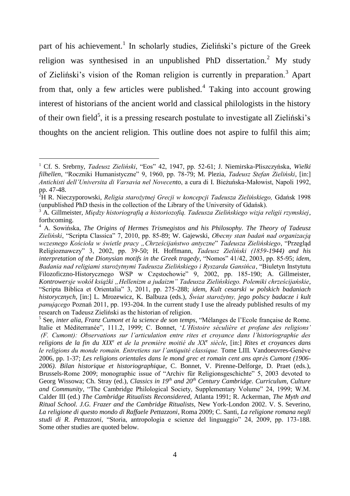part of his achievement.<sup>1</sup> In scholarly studies, Zieliński's picture of the Greek religion was synthesised in an unpublished PhD dissertation.<sup>2</sup> My study of Zieliński"s vision of the Roman religion is currently in preparation.<sup>3</sup> Apart from that, only a few articles were published.<sup>4</sup> Taking into account growing interest of historians of the ancient world and classical philologists in the history of their own field<sup>5</sup>, it is a pressing research postulate to investigate all Zieliński's thoughts on the ancient religion. This outline does not aspire to fulfil this aim;

 $\overline{a}$ 

<sup>1</sup> Cf. S. Srebrny, *Tadeusz Zieliński*, "Eos" 42, 1947, pp. 52-61; J. Niemirska-Pliszczyńska, *Wielki filhellen*, "Roczniki Humanistyczne" 9, 1960, pp. 78-79; M. Plezia, *Tadeusz Stefan Zieliński*, [in:] *Antichisti dell'Universita di Varsavia nel Novecento*, a cura di I. Bieżuńska-Małowist, Napoli 1992, pp. 47-48.

<sup>2</sup>H R. Nieczyporowski, *Religia starożytnej Grecji w koncepcji Tadeusza Zielińskiego,* Gdańsk 1998 (unpublished PhD thesis in the collection of the Library of the University of Gdańsk).

<sup>3</sup> A. Gillmeister, *Między historiografią a historiozofią. Tadeusza Zielińskiego wizja religii rzymskiej*, forthcoming.

<sup>4</sup> A. Sowińska, *The Origins of Hermes Trismegistos and his Philosophy. The Theory of Tadeusz Zieliński*, "Scripta Classica" 7, 2010, pp. 85-89; W. Gajewski, *Obecny stan badań nad organizacją wczesnego Kościoła w świetle pracy "Chrześcijaństwo antyczne*" *Tadeusza Zielińskiego*, "Przegląd Religioznawczy" 3, 2002, pp. 39-50; H. Hoffmann, *Tadeusz Zieliński (1859-1944) and his interpretation of the Dionysian motifs in the Greek tragedy*, "Nomos" 41/42, 2003, pp. 85-95; *idem*, *Badania nad religiami starożytnymi Tadeusza Zielińskiego i Ryszarda Gansińca*, "Biuletyn Instytutu Filozoficzno-Historycznego WSP w Częstochowie" 9, 2002, pp. 185-190; A. Gillmeister, *Kontrowersje wokół książki "Hellenizm a judaizm" Tadeusza Zielińskiego. Polemiki chrześcijańskie*, "Scripta Biblica et Orientalia" 3, 2011, pp. 275-288; *idem*, *Kult cesarski w polskich badaniach historycznych*, [in:] L. Mrozewicz, K. Balbuza (eds.), *Świat starożytny, jego polscy badacze i kult panującego* Poznań 2011, pp. 193-204. In the current study I use the already published results of my research on Tadeusz Zieliński as the historian of religion.

<sup>5</sup> See, *inter alia*, *Franz Cumont et la science de son temps*, "Mélanges de l"Ecole française de Rome. Italie et Méditerranée", 111.2, 1999; C. Bonnet, "*L'Histoire séculière et profane des religions' (F. Cumont): Observations sur l'articulation entre rites et croyance dans l'historiographie des religions de la fin du XIX<sup>e</sup> et de la première moitié du XX<sup>e</sup> siècle*, [in:] *Rites et croyances dans le religions du monde romain. Entretiens sur l'antiquité classique.* Tome LIII*.* Vandoeuvres-Genève 2006, pp. 1-37; *Les religions orientales dans le mond grec et romain cent ans après Cumont (1906- 2006). Bilan historique et historiographique*, C. Bonnet, V. Pirenne-Delforge, D. Praet (eds.), Brussels-Rome 2009; monographic issue of "Archiv für Religionsgeschichte" 5, 2003 devoted to Georg Wissowa; Ch. Stray (ed.), *Classics in 19th and 20th Century Cambridge. Curriculum, Culture and Community*, "The Cambridge Philological Society, Supplementary Volume" 24, 1999; W.M. Calder III (ed.) *The Cambridge Ritualists Reconsidered*, Atlanta 1991; R. Ackerman, *The Myth and Ritual School. J.G. Frazer and the Cambridge Ritualists*, New York-London 2002. V. S. Severino, *La religione di questo mondo di Raffaele Pettazzoni*, Roma 2009; C. Santi, *La religione romana negli studi di R. Pettazzoni*, "Storia, antropologia e scienze del linguaggio" 24, 2009, pp. 173-188. Some other studies are quoted below.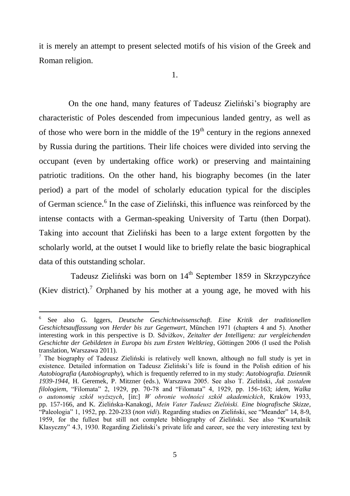it is merely an attempt to present selected motifs of his vision of the Greek and Roman religion.

On the one hand, many features of Tadeusz Zieliński"s biography are characteristic of Poles descended from impecunious landed gentry, as well as of those who were born in the middle of the  $19<sup>th</sup>$  century in the regions annexed by Russia during the partitions. Their life choices were divided into serving the occupant (even by undertaking office work) or preserving and maintaining patriotic traditions. On the other hand, his biography becomes (in the later period) a part of the model of scholarly education typical for the disciples of German science.<sup>6</sup> In the case of Zieliński, this influence was reinforced by the intense contacts with a German-speaking University of Tartu (then Dorpat). Taking into account that Zieliński has been to a large extent forgotten by the scholarly world, at the outset I would like to briefly relate the basic biographical data of this outstanding scholar.

Tadeusz Zieliński was born on 14th September 1859 in Skrzypczyńce (Kiev district).<sup>7</sup> Orphaned by his mother at a young age, he moved with his

<sup>6</sup> See also G. Iggers, *Deutsche Geschichtwissenschaft. Eine Kritik der traditionellen Geschichtsauffassung von Herder bis zur Gegenwart*, München 1971 (chapters 4 and 5). Another interesting work in this perspective is D. Sdvižkov, *Zeitalter der Intelligenz: zur vergleichenden Geschichte der Gebildeten in Europa bis zum Ersten Weltkrieg*, Göttingen 2006 (I used the Polish translation, Warszawa 2011).

<sup>&</sup>lt;sup>7</sup> The biography of Tadeusz Zieliński is relatively well known, although no full study is yet in existence. Detailed information on Tadeusz Zieliński"s life is found in the Polish edition of his *Autobiografia* (*Autobiography*), which is frequently referred to in my study: *Autobiografia. Dziennik 1939-1944*, H. Geremek, P. Mitzner (eds.), Warszawa 2005. See also T. Zieliński, *Jak zostałem filologiem*, "Filomata" 2, 1929, pp. 70-78 and "Filomata" 4, 1929, pp. 156-163; *idem*, *Walka o autonomię szkół wyższych*, [in:] *W obronie wolności szkół akademickich*, Kraków 1933, pp. 157-166, and K. Zielińska-Kanakogi, *Mein Vater Tadeusz Zieliński. Eine biografische Skizze*, "Paleologia" 1, 1952, pp. 220-233 (*non vidi*). Regarding studies on Zieliński, see "Meander" 14, 8-9, 1959, for the fullest but still not complete bibliography of Zieliński. See also "Kwartalnik Klasyczny" 4.3, 1930. Regarding Zieliński"s private life and career, see the very interesting text by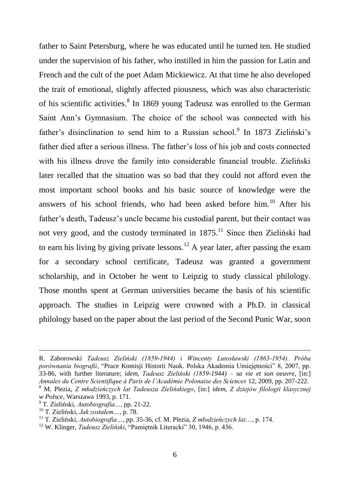father to Saint Petersburg, where he was educated until he turned ten. He studied under the supervision of his father, who instilled in him the passion for Latin and French and the cult of the poet Adam Mickiewicz. At that time he also developed the trait of emotional, slightly affected piousness, which was also characteristic of his scientific activities.<sup>8</sup> In 1869 young Tadeusz was enrolled to the German Saint Ann"s Gymnasium. The choice of the school was connected with his father's disinclination to send him to a Russian school.<sup>9</sup> In 1873 Zieliński's father died after a serious illness. The father"s loss of his job and costs connected with his illness drove the family into considerable financial trouble. Zieliński later recalled that the situation was so bad that they could not afford even the most important school books and his basic source of knowledge were the answers of his school friends, who had been asked before him.<sup>10</sup> After his father"s death, Tadeusz"s uncle became his custodial parent, but their contact was not very good, and the custody terminated in  $1875<sup>11</sup>$  Since then Zieliński had to earn his living by giving private lessons.<sup>12</sup> A year later, after passing the exam for a secondary school certificate, Tadeusz was granted a government scholarship, and in October he went to Leipzig to study classical philology. Those months spent at German universities became the basis of his scientific approach. The studies in Leipzig were crowned with a Ph.D. in classical philology based on the paper about the last period of the Second Punic War, soon

R. Zaborowski *Tadeusz Zieliński (1859-1944) i Wincenty Lutosławski (1863-1954). Próba porównania biografii*, "Prace Komisji Historii Nauk. Polska Akademia Umiejętności" 8, 2007, pp. 33-86, with further literature; *idem*, *Tadeusz Zieliński (1859-1944) – sa vie et son oeuvre*, [in:] *Annales du Centre Scientifique à Paris de l'Académie Polonaise des Sciences* 12, 2009, pp. 207-222. <sup>8</sup> M. Plezia, *Z młodzieńczych lat Tadeusza Zielińskiego*, [in:] *idem*, *Z dziejów filologii klasycznej w Polsce*, Warszawa 1993, p. 171.

<sup>9</sup> T. Zieliński, *Autobiografia…*, pp. 21-22.

<sup>10</sup> T. Zieliński, *Jak zostałem…*, p. 78.

<sup>11</sup> T. Zieliński, *Autobiografia…*, pp. 35-36, cf. M. Plezia, *Z młodzieńczych lat*…, p. 174.

<sup>12</sup> W. Klinger, *Tadeusz Zieliński*, "Pamiętnik Literacki" 30, 1946, p. 436.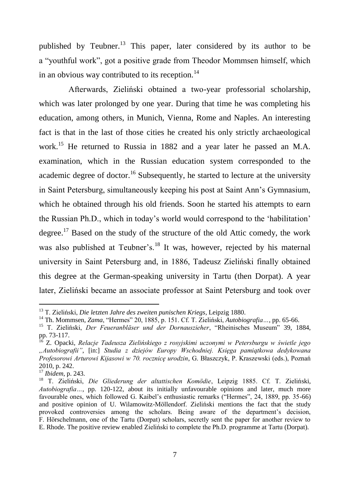published by Teubner.<sup>13</sup> This paper, later considered by its author to be a "youthful work", got a positive grade from Theodor Mommsen himself, which in an obvious way contributed to its reception. $^{14}$ 

Afterwards, Zieliński obtained a two-year professorial scholarship, which was later prolonged by one year. During that time he was completing his education, among others, in Munich, Vienna, Rome and Naples. An interesting fact is that in the last of those cities he created his only strictly archaeological work.<sup>15</sup> He returned to Russia in 1882 and a year later he passed an M.A. examination, which in the Russian education system corresponded to the academic degree of doctor.<sup>16</sup> Subsequently, he started to lecture at the university in Saint Petersburg, simultaneously keeping his post at Saint Ann"s Gymnasium, which he obtained through his old friends. Soon he started his attempts to earn the Russian Ph.D., which in today"s world would correspond to the "habilitation" degree.<sup>17</sup> Based on the study of the structure of the old Attic comedy, the work was also published at Teubner's<sup>18</sup> It was, however, rejected by his maternal university in Saint Petersburg and, in 1886, Tadeusz Zieliński finally obtained this degree at the German-speaking university in Tartu (then Dorpat). A year later, Zieliński became an associate professor at Saint Petersburg and took over

<sup>13</sup> T. Zieliński, *Die letzten Jahre des zweiten punischen Kriegs*, Leipzig 1880.

<sup>14</sup> Th. Mommsen, *Zama*, "Hermes" 20, 1885, p. 151. Cf. T. Zieliński, *Autobiografia…*, pp. 65-66.

<sup>15</sup> T. Zieliński, *Der Feueranbläser und der Dornauszieher*, "Rheinisches Museum" 39, 1884, pp. 73-117.

<sup>16</sup> Z. Opacki, *Relacje Tadeusza Zielińskiego z rosyjskimi uczonymi w Petersburgu w świetle jego "Autobiografii"*, [in:] *Studia z dziejów Europy Wschodniej. Księga pamiątkowa dedykowana Profesorowi Arturowi Kijasowi w 70. rocznicę urodzin*, G. Błaszczyk, P. Kraszewski (eds.), Poznań 2010, p. 242.

<sup>17</sup> *Ibidem*, p. 243.

<sup>18</sup> T. Zieliński, *Die Gliederung der altattischen Komödie*, Leipzig 1885. Cf. T. Zieliński, *Autobiografia…*, pp. 120-122, about its initially unfavourable opinions and later, much more favourable ones, which followed G. Kaibel"s enthusiastic remarks ("Hermes", 24, 1889, pp. 35-66) and positive opinion of U. Wilamowitz-Möllendorf. Zieliński mentions the fact that the study provoked controversies among the scholars. Being aware of the department"s decision, F. Hörschelmann, one of the Tartu (Dorpat) scholars, secretly sent the paper for another review to E. Rhode. The positive review enabled Zieliński to complete the Ph.D. programme at Tartu (Dorpat).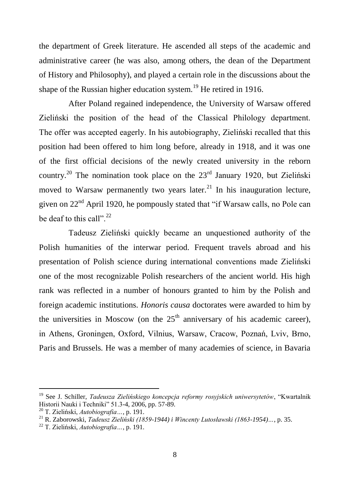the department of Greek literature. He ascended all steps of the academic and administrative career (he was also, among others, the dean of the Department of History and Philosophy), and played a certain role in the discussions about the shape of the Russian higher education system.<sup>19</sup> He retired in 1916.

After Poland regained independence, the University of Warsaw offered Zieliński the position of the head of the Classical Philology department. The offer was accepted eagerly. In his autobiography, Zieliński recalled that this position had been offered to him long before, already in 1918, and it was one of the first official decisions of the newly created university in the reborn country.<sup>20</sup> The nomination took place on the  $23<sup>rd</sup>$  January 1920, but Zieliński moved to Warsaw permanently two years later.<sup>21</sup> In his inauguration lecture, given on 22nd April 1920, he pompously stated that "if Warsaw calls, no Pole can be deaf to this call".  $22$ 

Tadeusz Zieliński quickly became an unquestioned authority of the Polish humanities of the interwar period. Frequent travels abroad and his presentation of Polish science during international conventions made Zieliński one of the most recognizable Polish researchers of the ancient world. His high rank was reflected in a number of honours granted to him by the Polish and foreign academic institutions. *Honoris causa* doctorates were awarded to him by the universities in Moscow (on the  $25<sup>th</sup>$  anniversary of his academic career), in Athens, Groningen, Oxford, Vilnius, Warsaw, Cracow, Poznań, Lviv, Brno, Paris and Brussels. He was a member of many academies of science, in Bavaria

<sup>19</sup> See J. Schiller, *Tadeusza Zielińskiego koncepcja reformy rosyjskich uniwersytetów*, "Kwartalnik Historii Nauki i Techniki" 51.3-4, 2006, pp. 57-89.

<sup>20</sup> T. Zieliński, *Autobiografia…*, p. 191.

<sup>21</sup> R. Zaborowski, *Tadeusz Zieliński (1859-1944) i Wincenty Lutosławski (1863-1954)…*, p. 35.

<sup>22</sup> T. Zieliński, *Autobiografia…*, p. 191.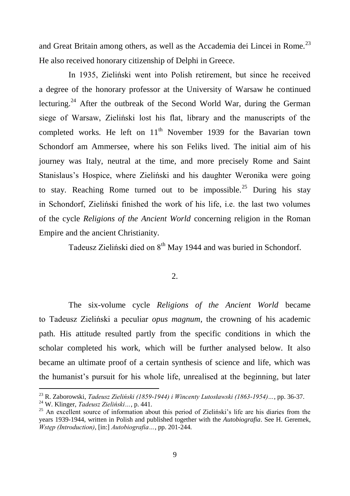and Great Britain among others, as well as the Accademia dei Lincei in Rome.<sup>23</sup> He also received honorary citizenship of Delphi in Greece.

In 1935, Zieliński went into Polish retirement, but since he received a degree of the honorary professor at the University of Warsaw he continued lecturing.<sup>24</sup> After the outbreak of the Second World War, during the German siege of Warsaw, Zieliński lost his flat, library and the manuscripts of the completed works. He left on  $11<sup>th</sup>$  November 1939 for the Bavarian town Schondorf am Ammersee, where his son Feliks lived. The initial aim of his journey was Italy, neutral at the time, and more precisely Rome and Saint Stanislaus"s Hospice, where Zieliński and his daughter Weronika were going to stay. Reaching Rome turned out to be impossible.<sup>25</sup> During his stay in Schondorf, Zieliński finished the work of his life, i.e. the last two volumes of the cycle *Religions of the Ancient World* concerning religion in the Roman Empire and the ancient Christianity.

Tadeusz Zieliński died on 8<sup>th</sup> May 1944 and was buried in Schondorf.

## $\mathcal{L}$

The six-volume cycle *Religions of the Ancient World* became to Tadeusz Zieliński a peculiar *opus magnum*, the crowning of his academic path. His attitude resulted partly from the specific conditions in which the scholar completed his work, which will be further analysed below. It also became an ultimate proof of a certain synthesis of science and life, which was the humanist's pursuit for his whole life, unrealised at the beginning, but later

<sup>23</sup> R. Zaborowski, *Tadeusz Zieliński (1859-1944) i Wincenty Lutosławski (1863-1954)…*, pp. 36-37.

<sup>24</sup> W. Klinger, *Tadeusz Zieliński…*, p. 441.

<sup>&</sup>lt;sup>25</sup> An excellent source of information about this period of Zieliński's life are his diaries from the years 1939-1944, written in Polish and published together with the *Autobiografia*. See H. Geremek, *Wstęp (Introduction)*, [in:] *Autobiografia…*, pp. 201-244.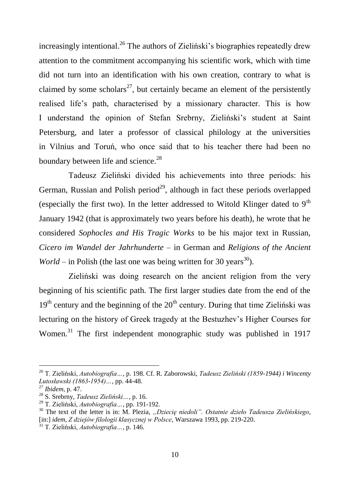increasingly intentional.<sup>26</sup> The authors of Zieliński's biographies repeatedly drew attention to the commitment accompanying his scientific work, which with time did not turn into an identification with his own creation, contrary to what is claimed by some scholars<sup>27</sup>, but certainly became an element of the persistently realised life"s path, characterised by a missionary character. This is how I understand the opinion of Stefan Srebrny, Zieliński"s student at Saint Petersburg, and later a professor of classical philology at the universities in Vilnius and Toruń, who once said that to his teacher there had been no boundary between life and science.<sup>28</sup>

Tadeusz Zieliński divided his achievements into three periods: his German, Russian and Polish period<sup>29</sup>, although in fact these periods overlapped (especially the first two). In the letter addressed to Witold Klinger dated to  $9<sup>th</sup>$ January 1942 (that is approximately two years before his death), he wrote that he considered *Sophocles and His Tragic Works* to be his major text in Russian, *Cicero im Wandel der Jahrhunderte* – in German and *Religions of the Ancient World* – in Polish (the last one was being written for 30 years<sup>30</sup>).

Zieliński was doing research on the ancient religion from the very beginning of his scientific path. The first larger studies date from the end of the  $19<sup>th</sup>$  century and the beginning of the  $20<sup>th</sup>$  century. During that time Zieliński was lecturing on the history of Greek tragedy at the Bestuzhev"s Higher Courses for Women.<sup>31</sup> The first independent monographic study was published in 1917

<sup>26</sup> T. Zieliński, *Autobiografia…*, p. 198. Cf. R. Zaborowski, *Tadeusz Zieliński (1859-1944) i Wincenty Lutosławski (1863-1954)…*, pp. 44-48.

<sup>27</sup> *Ibidem*, p. 47.

<sup>28</sup> S. Srebrny, *Tadeusz Zieliński…*, p. 16.

<sup>29</sup> T. Zieliński, *Autobiografia…*, pp. 191-192.

<sup>&</sup>lt;sup>30</sup> The text of the letter is in: M. Plezia, *"Dziecie niedoli". Ostatnie dzieło Tadeusza Zielińskiego*, [in:] *idem*, *Z dziejów filologii klasycznej w Polsce*, Warszawa 1993, pp. 219-220.

<sup>31</sup> T. Zieliński, *Autobiografia…*, p. 146.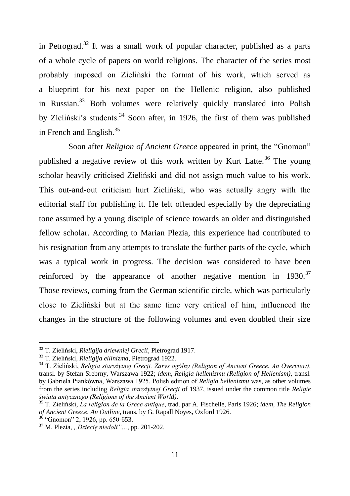in Petrograd.<sup>32</sup> It was a small work of popular character, published as a parts of a whole cycle of papers on world religions. The character of the series most probably imposed on Zieliński the format of his work, which served as a blueprint for his next paper on the Hellenic religion, also published in Russian.<sup>33</sup> Both volumes were relatively quickly translated into Polish by Zieliński's students.<sup>34</sup> Soon after, in 1926, the first of them was published in French and English.<sup>35</sup>

Soon after *Religion of Ancient Greece* appeared in print, the "Gnomon" published a negative review of this work written by Kurt Latte.<sup>36</sup> The young scholar heavily criticised Zieliński and did not assign much value to his work. This out-and-out criticism hurt Zieliński, who was actually angry with the editorial staff for publishing it. He felt offended especially by the depreciating tone assumed by a young disciple of science towards an older and distinguished fellow scholar. According to Marian Plezia, this experience had contributed to his resignation from any attempts to translate the further parts of the cycle, which was a typical work in progress. The decision was considered to have been reinforced by the appearance of another negative mention in  $1930$ .<sup>37</sup> Those reviews, coming from the German scientific circle, which was particularly close to Zieliński but at the same time very critical of him, influenced the changes in the structure of the following volumes and even doubled their size

<sup>32</sup> T. Zieliński, *Rieligija driewniej Grecii*, Pietrograd 1917.

<sup>33</sup> T. Zieliński, *Rieligija ellinizma*, Pietrograd 1922.

<sup>34</sup> T. Zieliński, *Religia starożytnej Grecji. Zarys ogólny (Religion of Ancient Greece. An Overview)*, transl. by Stefan Srebrny, Warszawa 1922; *idem*, *Religia hellenizmu (Religion of Hellenism)*, transl. by Gabriela Piankówna, Warszawa 1925. Polish edition of *Religia hellenizmu* was, as other volumes from the series including *Religia starożytnej Grecji* of 1937, issued under the common title *Religie świata antycznego (Religions of the Ancient World)*.

<sup>35</sup> T. Zieliński, *La religion de la Grèce antique*, trad. par A. Fischelle, Paris 1926; *idem*, *The Religion of Ancient Greece. An Outline*, trans. by G. Rapall Noyes, Oxford 1926.

 $36$  "Gnomon" 2, 1926, pp. 650-653.

<sup>&</sup>lt;sup>37</sup> M. Plezia, "Dziecię niedoli"..., pp. 201-202.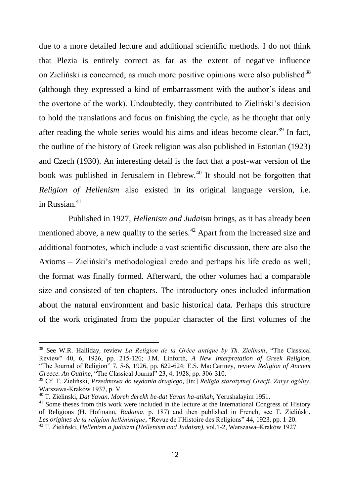due to a more detailed lecture and additional scientific methods. I do not think that Plezia is entirely correct as far as the extent of negative influence on Zieliński is concerned, as much more positive opinions were also published<sup>38</sup> (although they expressed a kind of embarrassment with the author"s ideas and the overtone of the work). Undoubtedly, they contributed to Zieliński"s decision to hold the translations and focus on finishing the cycle, as he thought that only after reading the whole series would his aims and ideas become clear.<sup>39</sup> In fact, the outline of the history of Greek religion was also published in Estonian (1923) and Czech (1930). An interesting detail is the fact that a post-war version of the book was published in Jerusalem in Hebrew.<sup>40</sup> It should not be forgotten that *Religion of Hellenism* also existed in its original language version, i.e. in Russian $41$ 

Published in 1927, *Hellenism and Judaism* brings, as it has already been mentioned above, a new quality to the series.<sup> $42$ </sup> Apart from the increased size and additional footnotes, which include a vast scientific discussion, there are also the Axioms – Zieliński"s methodological credo and perhaps his life credo as well; the format was finally formed. Afterward, the other volumes had a comparable size and consisted of ten chapters. The introductory ones included information about the natural environment and basic historical data. Perhaps this structure of the work originated from the popular character of the first volumes of the

<sup>38</sup> See W.R. Halliday, review *La Religion de la Grèce antique by Th. Zielinski*, "The Classical Review" 40, 6, 1926, pp. 215-126; J.M. Linforth, *A New Interpretation of Greek Religion*, "The Journal of Religion" 7, 5-6, 1926, pp. 622-624; E.S. MacCartney, review *Religion of Ancient Greece. An Outline*, "The Classical Journal" 23, 4, 1928, pp. 306-310.

<sup>39</sup> Cf. T. Zieliński, *Przedmowa do wydania drugiego*, [in:] *Religia starożytnej Grecji. Zarys ogólny*, Warszawa-Kraków 1937, p. V.

<sup>40</sup> T. Zielinski, *Dat Yavan. Moreh derekh be-dat Yavan ha-atikah***,** Yerushalayim 1951.

<sup>&</sup>lt;sup>41</sup> Some theses from this work were included in the lecture at the International Congress of History of Religions (H. Hofmann, *Badania*, p. 187) and then published in French, see T. Zieliński, *Les origines de la religion hellénistique*, "Revue de l"Histoire des Religions" 44, 1923, pp. 1-20. <sup>42</sup> T. Zieliński, *Hellenizm a judaizm (Hellenism and Judaism)*, vol.1-2, Warszawa–Kraków 1927.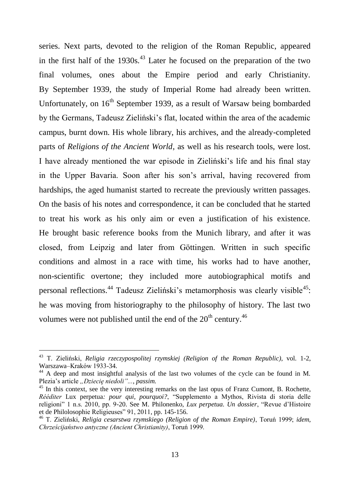series. Next parts, devoted to the religion of the Roman Republic, appeared in the first half of the  $1930s<sup>43</sup>$  Later he focused on the preparation of the two final volumes, ones about the Empire period and early Christianity. By September 1939, the study of Imperial Rome had already been written. Unfortunately, on  $16<sup>th</sup>$  September 1939, as a result of Warsaw being bombarded by the Germans, Tadeusz Zieliński"s flat, located within the area of the academic campus, burnt down. His whole library, his archives, and the already-completed parts of *Religions of the Ancient World*, as well as his research tools, were lost. I have already mentioned the war episode in Zieliński"s life and his final stay in the Upper Bavaria. Soon after his son"s arrival, having recovered from hardships, the aged humanist started to recreate the previously written passages. On the basis of his notes and correspondence, it can be concluded that he started to treat his work as his only aim or even a justification of his existence. He brought basic reference books from the Munich library, and after it was closed, from Leipzig and later from Göttingen. Written in such specific conditions and almost in a race with time, his works had to have another, non-scientific overtone; they included more autobiographical motifs and personal reflections.<sup>44</sup> Tadeusz Zieliński's metamorphosis was clearly visible<sup>45</sup>: he was moving from historiography to the philosophy of history. The last two volumes were not published until the end of the  $20<sup>th</sup>$  century.<sup>46</sup>

<sup>43</sup> T. Zieliński, *Religia rzeczypospolitej rzymskiej (Religion of the Roman Republic)*, vol. 1-2, Warszawa–Kraków 1933-34.

<sup>44</sup> A deep and most insightful analysis of the last two volumes of the cycle can be found in M. Plezia's article *"Dziecie niedoli*"..., *passim.* 

<sup>&</sup>lt;sup>45</sup> In this context, see the very interesting remarks on the last opus of Franz Cumont, B. Rochette, *Rééditer* Lux perpetua*: pour qui, pourquoi?*, "Supplemento a Mythos, Rivista di storia delle religioni" 1 n.s. 2010, pp. 9-20. See M. Philonenko, *Lux perpetua. Un dossier*, "Revue d"Histoire et de Philolosophie Religieuses" 91, 2011, pp. 145-156.

<sup>46</sup> T. Zieliński, *Religia cesarstwa rzymskiego (Religion of the Roman Empire)*, Toruń 1999; *idem*, *Chrześcijaństwo antyczne (Ancient Christianity)*, Toruń 1999.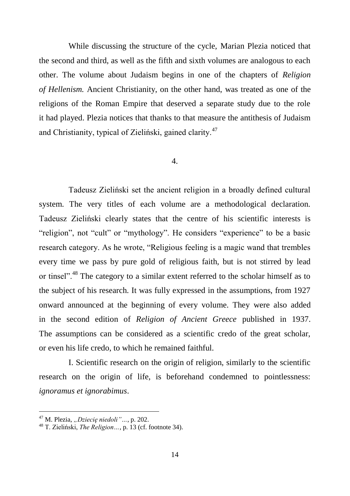While discussing the structure of the cycle, Marian Plezia noticed that the second and third, as well as the fifth and sixth volumes are analogous to each other. The volume about Judaism begins in one of the chapters of *Religion of Hellenism.* Ancient Christianity, on the other hand, was treated as one of the religions of the Roman Empire that deserved a separate study due to the role it had played. Plezia notices that thanks to that measure the antithesis of Judaism and Christianity, typical of Zieliński, gained clarity.<sup>47</sup>

## 4.

Tadeusz Zieliński set the ancient religion in a broadly defined cultural system. The very titles of each volume are a methodological declaration. Tadeusz Zieliński clearly states that the centre of his scientific interests is "religion", not "cult" or "mythology". He considers "experience" to be a basic research category. As he wrote, "Religious feeling is a magic wand that trembles every time we pass by pure gold of religious faith, but is not stirred by lead or tinsel".<sup>48</sup> The category to a similar extent referred to the scholar himself as to the subject of his research. It was fully expressed in the assumptions, from 1927 onward announced at the beginning of every volume. They were also added in the second edition of *Religion of Ancient Greece* published in 1937. The assumptions can be considered as a scientific credo of the great scholar, or even his life credo, to which he remained faithful.

I. Scientific research on the origin of religion, similarly to the scientific research on the origin of life, is beforehand condemned to pointlessness: *ignoramus et ignorabimus*.

<sup>&</sup>lt;sup>47</sup> M. Plezia, "Dziecię niedoli"..., p. 202.

<sup>48</sup> T. Zieliński, *The Religion…*, p. 13 (cf. footnote 34).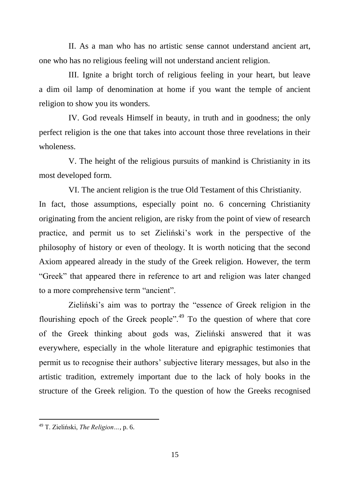II. As a man who has no artistic sense cannot understand ancient art, one who has no religious feeling will not understand ancient religion.

III. Ignite a bright torch of religious feeling in your heart, but leave a dim oil lamp of denomination at home if you want the temple of ancient religion to show you its wonders.

IV. God reveals Himself in beauty, in truth and in goodness; the only perfect religion is the one that takes into account those three revelations in their wholeness.

V. The height of the religious pursuits of mankind is Christianity in its most developed form.

VI. The ancient religion is the true Old Testament of this Christianity. In fact, those assumptions, especially point no. 6 concerning Christianity originating from the ancient religion, are risky from the point of view of research practice, and permit us to set Zieliński"s work in the perspective of the philosophy of history or even of theology. It is worth noticing that the second Axiom appeared already in the study of the Greek religion. However, the term "Greek" that appeared there in reference to art and religion was later changed to a more comprehensive term "ancient".

Zieliński"s aim was to portray the "essence of Greek religion in the flourishing epoch of the Greek people".<sup>49</sup> To the question of where that core of the Greek thinking about gods was, Zieliński answered that it was everywhere, especially in the whole literature and epigraphic testimonies that permit us to recognise their authors" subjective literary messages, but also in the artistic tradition, extremely important due to the lack of holy books in the structure of the Greek religion. To the question of how the Greeks recognised

<sup>49</sup> T. Zieliński, *The Religion…*, p. 6.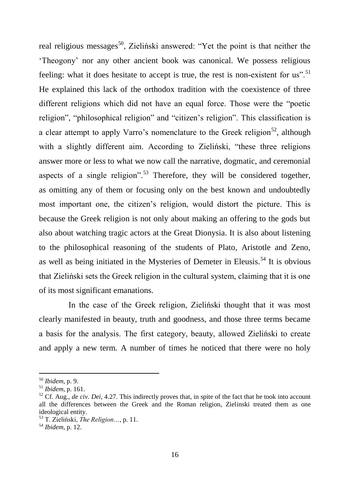real religious messages<sup>50</sup>, Zieliński answered: "Yet the point is that neither the "Theogony" nor any other ancient book was canonical. We possess religious feeling: what it does hesitate to accept is true, the rest is non-existent for us".<sup>51</sup> He explained this lack of the orthodox tradition with the coexistence of three different religions which did not have an equal force. Those were the "poetic religion", "philosophical religion" and "citizen"s religion". This classification is a clear attempt to apply Varro's nomenclature to the Greek religion<sup>52</sup>, although with a slightly different aim. According to Zieliński, "these three religions answer more or less to what we now call the narrative, dogmatic, and ceremonial aspects of a single religion".<sup>53</sup> Therefore, they will be considered together, as omitting any of them or focusing only on the best known and undoubtedly most important one, the citizen"s religion, would distort the picture. This is because the Greek religion is not only about making an offering to the gods but also about watching tragic actors at the Great Dionysia. It is also about listening to the philosophical reasoning of the students of Plato, Aristotle and Zeno, as well as being initiated in the Mysteries of Demeter in Eleusis.<sup>54</sup> It is obvious that Zieliński sets the Greek religion in the cultural system, claiming that it is one of its most significant emanations.

In the case of the Greek religion, Zieliński thought that it was most clearly manifested in beauty, truth and goodness, and those three terms became a basis for the analysis. The first category, beauty, allowed Zieliński to create and apply a new term. A number of times he noticed that there were no holy

<sup>50</sup> *Ibidem*, p. 9.

<sup>51</sup> *Ibidem*, p. 161.

<sup>&</sup>lt;sup>52</sup> Cf. Aug., *de civ. Dei*, 4.27. This indirectly proves that, in spite of the fact that he took into account all the differences between the Greek and the Roman religion, Zielinski treated them as one ideological entity.

<sup>53</sup> T. Zieliński, *The Religion…*, p. 11.

<sup>54</sup> *Ibidem*, p. 12.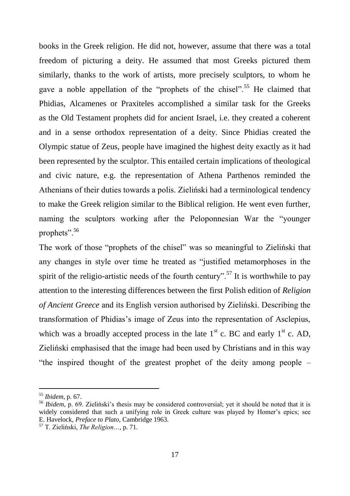books in the Greek religion. He did not, however, assume that there was a total freedom of picturing a deity. He assumed that most Greeks pictured them similarly, thanks to the work of artists, more precisely sculptors, to whom he gave a noble appellation of the "prophets of the chisel".<sup>55</sup> He claimed that Phidias, Alcamenes or Praxiteles accomplished a similar task for the Greeks as the Old Testament prophets did for ancient Israel, i.e. they created a coherent and in a sense orthodox representation of a deity. Since Phidias created the Olympic statue of Zeus, people have imagined the highest deity exactly as it had been represented by the sculptor. This entailed certain implications of theological and civic nature, e.g. the representation of Athena Parthenos reminded the Athenians of their duties towards a polis. Zieliński had a terminological tendency to make the Greek religion similar to the Biblical religion. He went even further, naming the sculptors working after the Peloponnesian War the "younger prophets".<sup>56</sup>

The work of those "prophets of the chisel" was so meaningful to Zieliński that any changes in style over time he treated as "justified metamorphoses in the spirit of the religio-artistic needs of the fourth century".<sup>57</sup> It is worthwhile to pay attention to the interesting differences between the first Polish edition of *Religion of Ancient Greece* and its English version authorised by Zieliński. Describing the transformation of Phidias's image of Zeus into the representation of Asclepius, which was a broadly accepted process in the late  $1<sup>st</sup>$  c. BC and early  $1<sup>st</sup>$  c. AD, Zieliński emphasised that the image had been used by Christians and in this way "the inspired thought of the greatest prophet of the deity among people –

<sup>55</sup> *Ibidem*, p. 67.

<sup>&</sup>lt;sup>56</sup> *Ibidem*, p. 69. Zieliński's thesis may be considered controversial; yet it should be noted that it is widely considered that such a unifying role in Greek culture was played by Homer"s epics; see E. Havelock, *Preface to Plato*, Cambridge 1963.

<sup>57</sup> T. Zieliński, *The Religion…*, p. 71.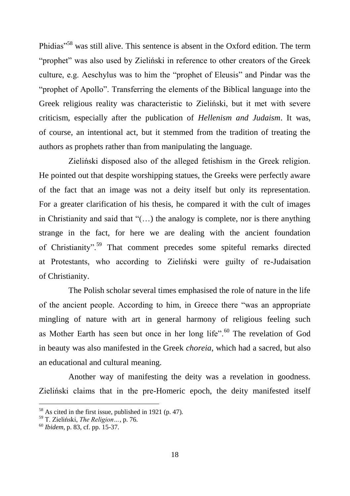Phidias"<sup>58</sup> was still alive. This sentence is absent in the Oxford edition. The term "prophet" was also used by Zieliński in reference to other creators of the Greek culture, e.g. Aeschylus was to him the "prophet of Eleusis" and Pindar was the "prophet of Apollo". Transferring the elements of the Biblical language into the Greek religious reality was characteristic to Zieliński, but it met with severe criticism, especially after the publication of *Hellenism and Judaism*. It was, of course, an intentional act, but it stemmed from the tradition of treating the authors as prophets rather than from manipulating the language.

Zieliński disposed also of the alleged fetishism in the Greek religion. He pointed out that despite worshipping statues, the Greeks were perfectly aware of the fact that an image was not a deity itself but only its representation. For a greater clarification of his thesis, he compared it with the cult of images in Christianity and said that " $($ ...) the analogy is complete, nor is there anything strange in the fact, for here we are dealing with the ancient foundation of Christianity".<sup>59</sup> That comment precedes some spiteful remarks directed at Protestants, who according to Zieliński were guilty of re-Judaisation of Christianity.

The Polish scholar several times emphasised the role of nature in the life of the ancient people. According to him, in Greece there "was an appropriate mingling of nature with art in general harmony of religious feeling such as Mother Earth has seen but once in her long life".<sup>60</sup> The revelation of God in beauty was also manifested in the Greek *choreia*, which had a sacred, but also an educational and cultural meaning.

Another way of manifesting the deity was a revelation in goodness. Zieliński claims that in the pre-Homeric epoch, the deity manifested itself

<sup>58</sup> As cited in the first issue, published in 1921 (p. 47).

<sup>59</sup> T. Zieliński, *The Religion…*, p. 76.

<sup>60</sup> *Ibidem*, p. 83, cf. pp. 15-37.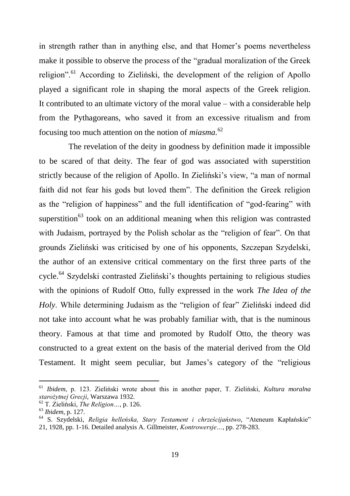in strength rather than in anything else, and that Homer's poems nevertheless make it possible to observe the process of the "gradual moralization of the Greek religion".<sup>61</sup> According to Zieliński, the development of the religion of Apollo played a significant role in shaping the moral aspects of the Greek religion. It contributed to an ultimate victory of the moral value – with a considerable help from the Pythagoreans, who saved it from an excessive ritualism and from focusing too much attention on the notion of *miasma.*<sup>62</sup>

The revelation of the deity in goodness by definition made it impossible to be scared of that deity. The fear of god was associated with superstition strictly because of the religion of Apollo. In Zieliński"s view, "a man of normal faith did not fear his gods but loved them". The definition the Greek religion as the "religion of happiness" and the full identification of "god-fearing" with superstition<sup>63</sup> took on an additional meaning when this religion was contrasted with Judaism, portrayed by the Polish scholar as the "religion of fear". On that grounds Zieliński was criticised by one of his opponents, Szczepan Szydelski, the author of an extensive critical commentary on the first three parts of the cycle.<sup>64</sup> Szydelski contrasted Zieliński"s thoughts pertaining to religious studies with the opinions of Rudolf Otto, fully expressed in the work *The Idea of the Holy*. While determining Judaism as the "religion of fear" Zieliński indeed did not take into account what he was probably familiar with, that is the numinous theory. Famous at that time and promoted by Rudolf Otto, the theory was constructed to a great extent on the basis of the material derived from the Old Testament. It might seem peculiar, but James"s category of the "religious

<sup>61</sup> *Ibidem*, p. 123. Zieliński wrote about this in another paper, T. Zieliński, *Kultura moralna starożytnej Grecji*, Warszawa 1932.

<sup>62</sup> T. Zieliński, *The Religion…*, p. 126.

<sup>63</sup> *Ibidem*, p. 127.

<sup>64</sup> S. Szydelski, *Religia helleńska, Stary Testament i chrześcijaństwo*, "Ateneum Kapłańskie" 21, 1928, pp. 1-16. Detailed analysis A. Gillmeister, *Kontrowersje…*, pp. 278-283.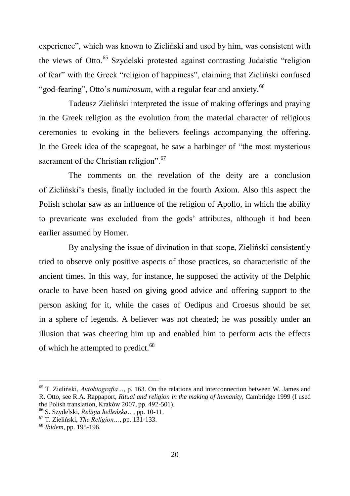experience", which was known to Zieliński and used by him, was consistent with the views of Otto.<sup>65</sup> Szydelski protested against contrasting Judaistic "religion" of fear" with the Greek "religion of happiness", claiming that Zieliński confused "god-fearing", Otto's *numinosum*, with a regular fear and anxiety.<sup>66</sup>

Tadeusz Zieliński interpreted the issue of making offerings and praying in the Greek religion as the evolution from the material character of religious ceremonies to evoking in the believers feelings accompanying the offering. In the Greek idea of the scapegoat, he saw a harbinger of "the most mysterious sacrament of the Christian religion".<sup>67</sup>

The comments on the revelation of the deity are a conclusion of Zieliński"s thesis, finally included in the fourth Axiom. Also this aspect the Polish scholar saw as an influence of the religion of Apollo, in which the ability to prevaricate was excluded from the gods" attributes, although it had been earlier assumed by Homer.

By analysing the issue of divination in that scope, Zieliński consistently tried to observe only positive aspects of those practices, so characteristic of the ancient times. In this way, for instance, he supposed the activity of the Delphic oracle to have been based on giving good advice and offering support to the person asking for it, while the cases of Oedipus and Croesus should be set in a sphere of legends. A believer was not cheated; he was possibly under an illusion that was cheering him up and enabled him to perform acts the effects of which he attempted to predict.<sup>68</sup>

<sup>65</sup> T. Zieliński, *Autobiografia…*, p. 163. On the relations and interconnection between W. James and R. Otto, see R.A. Rappaport, *Ritual and religion in the making of humanity*, Cambridge 1999 (I used the Polish translation, Kraków 2007, pp. 492-501).

<sup>66</sup> S. Szydelski, *Religia helleńska…*, pp. 10-11.

<sup>67</sup> T. Zieliński, *The Religion…*, pp. 131-133.

<sup>68</sup> *Ibidem*, pp. 195-196.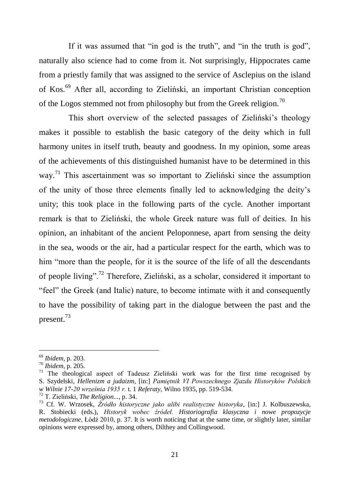If it was assumed that "in god is the truth", and "in the truth is god", naturally also science had to come from it. Not surprisingly, Hippocrates came from a priestly family that was assigned to the service of Asclepius on the island of Kos.<sup>69</sup> After all, according to Zieliński, an important Christian conception of the Logos stemmed not from philosophy but from the Greek religion.<sup>70</sup>

This short overview of the selected passages of Zieliński"s theology makes it possible to establish the basic category of the deity which in full harmony unites in itself truth, beauty and goodness. In my opinion, some areas of the achievements of this distinguished humanist have to be determined in this way.<sup>71</sup> This ascertainment was so important to Zieliński since the assumption of the unity of those three elements finally led to acknowledging the deity"s unity; this took place in the following parts of the cycle. Another important remark is that to Zieliński, the whole Greek nature was full of deities. In his opinion, an inhabitant of the ancient Peloponnese, apart from sensing the deity in the sea, woods or the air, had a particular respect for the earth, which was to him "more than the people, for it is the source of the life of all the descendants of people living".<sup>72</sup> Therefore, Zieliński, as a scholar, considered it important to "feel" the Greek (and Italic) nature, to become intimate with it and consequently to have the possibility of taking part in the dialogue between the past and the present.<sup>73</sup>

<sup>69</sup> *Ibidem*, p. 203.

<sup>70</sup> *Ibidem*, p. 205.

<sup>&</sup>lt;sup>71</sup> The theological aspect of Tadeusz Zieliński work was for the first time recognised by S. Szydelski, *Hellenizm a judaizm*, [in:] *Pamiętnik VI Powszechnego Zjazdu Historyków Polskich w Wilnie 17-20 września 1935 r.* t. 1 *Referaty*, Wilno 1935, pp. 519-534.

<sup>72</sup> T. Zieliński, *The Religion...*, p. 34.

<sup>73</sup> Cf. W. Wrzosek, *Źródło historyczne jako alibi realistyczne historyka*, [in:] J. Kolbuszewska, R. Stobiecki (eds.), *Historyk wobec źródeł. Historiografia klasyczna i nowe propozycje metodologiczne*, Łódź 2010, p. 37. It is worth noticing that at the same time, or slightly later, similar opinions were expressed by, among others, Dilthey and Collingwood.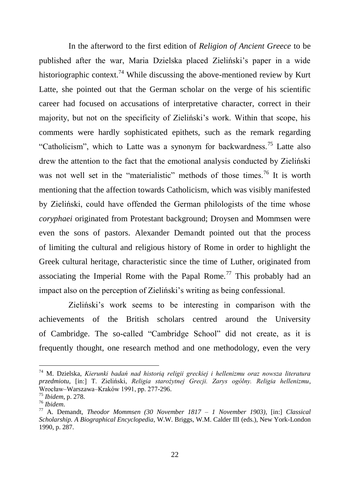In the afterword to the first edition of *Religion of Ancient Greece* to be published after the war, Maria Dzielska placed Zieliński"s paper in a wide historiographic context.<sup>74</sup> While discussing the above-mentioned review by Kurt Latte, she pointed out that the German scholar on the verge of his scientific career had focused on accusations of interpretative character, correct in their majority, but not on the specificity of Zieliński"s work. Within that scope, his comments were hardly sophisticated epithets, such as the remark regarding "Catholicism", which to Latte was a synonym for backwardness.<sup>75</sup> Latte also drew the attention to the fact that the emotional analysis conducted by Zieliński was not well set in the "materialistic" methods of those times.<sup>76</sup> It is worth mentioning that the affection towards Catholicism, which was visibly manifested by Zieliński, could have offended the German philologists of the time whose *coryphaei* originated from Protestant background; Droysen and Mommsen were even the sons of pastors. Alexander Demandt pointed out that the process of limiting the cultural and religious history of Rome in order to highlight the Greek cultural heritage, characteristic since the time of Luther, originated from associating the Imperial Rome with the Papal Rome.<sup>77</sup> This probably had an impact also on the perception of Zieliński"s writing as being confessional.

Zieliński"s work seems to be interesting in comparison with the achievements of the British scholars centred around the University of Cambridge. The so-called "Cambridge School" did not create, as it is frequently thought, one research method and one methodology, even the very

<sup>74</sup> M. Dzielska, *Kierunki badań nad historią religii greckiej i hellenizmu oraz nowsza literatura przedmiotu*, [in:] T. Zieliński, *Religia starożytnej Grecji. Zarys ogólny. Religia hellenizmu*, Wrocław–Warszawa–Kraków 1991, pp. 277-296.

<sup>75</sup> *Ibidem*, p. 278.

<sup>76</sup> *Ibidem*.

<sup>77</sup> A. Demandt, *Theodor Mommsen (30 November 1817 – 1 November 1903)*, [in:] *Classical Scholarship. A Biographical Encyclopedia*, W.W. Briggs, W.M. Calder III (eds.), New York-London 1990, p. 287.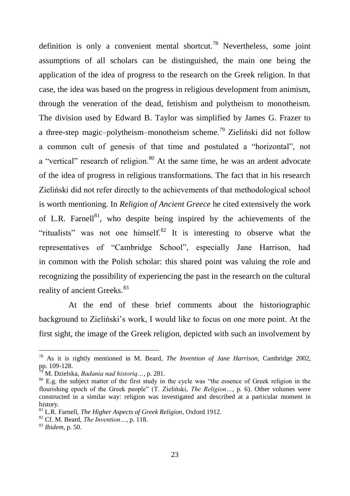definition is only a convenient mental shortcut.<sup>78</sup> Nevertheless, some joint assumptions of all scholars can be distinguished, the main one being the application of the idea of progress to the research on the Greek religion. In that case, the idea was based on the progress in religious development from animism, through the veneration of the dead, fetishism and polytheism to monotheism. The division used by Edward B. Taylor was simplified by James G. Frazer to a three-step magic–polytheism–monotheism scheme.<sup>79</sup> Zieliński did not follow a common cult of genesis of that time and postulated a "horizontal", not a "vertical" research of religion.<sup>80</sup> At the same time, he was an ardent advocate of the idea of progress in religious transformations. The fact that in his research Zieliński did not refer directly to the achievements of that methodological school is worth mentioning. In *Religion of Ancient Greece* he cited extensively the work of L.R. Farnell<sup>81</sup>, who despite being inspired by the achievements of the "ritualists" was not one himself. $82$  It is interesting to observe what the representatives of "Cambridge School", especially Jane Harrison, had in common with the Polish scholar: this shared point was valuing the role and recognizing the possibility of experiencing the past in the research on the cultural reality of ancient Greeks.<sup>83</sup>

At the end of these brief comments about the historiographic background to Zieliński"s work, I would like to focus on one more point. At the first sight, the image of the Greek religion, depicted with such an involvement by

<sup>78</sup> As it is rightly mentioned in M. Beard, *The Invention of Jane Harrison*, Cambridge 2002, pp. 109-128.

<sup>79</sup> M. Dzielska, *Badania nad historią…*, p. 281.

<sup>&</sup>lt;sup>80</sup> E.g. the subject matter of the first study in the cycle was "the essence of Greek religion in the flourishing epoch of the Greek people" (T. Zieliński, *The Religion…*, p. 6). Other volumes were constructed in a similar way: religion was investigated and described at a particular moment in history.

<sup>81</sup> L.R. Farnell, *The Higher Aspects of Greek Religion*, Oxford 1912.

<sup>82</sup> Cf. M. Beard, *The Invention…*, p. 118.

<sup>83</sup> *Ibidem*, p. 50.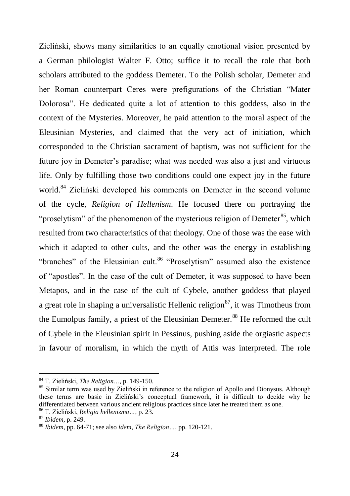Zieliński, shows many similarities to an equally emotional vision presented by a German philologist Walter F. Otto; suffice it to recall the role that both scholars attributed to the goddess Demeter. To the Polish scholar, Demeter and her Roman counterpart Ceres were prefigurations of the Christian "Mater Dolorosa". He dedicated quite a lot of attention to this goddess, also in the context of the Mysteries. Moreover, he paid attention to the moral aspect of the Eleusinian Mysteries, and claimed that the very act of initiation, which corresponded to the Christian sacrament of baptism, was not sufficient for the future joy in Demeter"s paradise; what was needed was also a just and virtuous life. Only by fulfilling those two conditions could one expect joy in the future world.<sup>84</sup> Zieliński developed his comments on Demeter in the second volume of the cycle, *Religion of Hellenism*. He focused there on portraying the "proselytism" of the phenomenon of the mysterious religion of Demeter<sup>85</sup>, which resulted from two characteristics of that theology. One of those was the ease with which it adapted to other cults, and the other was the energy in establishing "branches" of the Eleusinian cult.<sup>86</sup> "Proselvtism" assumed also the existence of "apostles". In the case of the cult of Demeter, it was supposed to have been Metapos, and in the case of the cult of Cybele, another goddess that played a great role in shaping a universalistic Hellenic religion<sup>87</sup>, it was Timotheus from the Eumolpus family, a priest of the Eleusinian Demeter.<sup>88</sup> He reformed the cult of Cybele in the Eleusinian spirit in Pessinus, pushing aside the orgiastic aspects in favour of moralism, in which the myth of Attis was interpreted. The role

<sup>84</sup> T. Zieliński, *The Religion…*, p. 149-150.

<sup>&</sup>lt;sup>85</sup> Similar term was used by Zieliński in reference to the religion of Apollo and Dionysus. Although these terms are basic in Zieliński"s conceptual framework, it is difficult to decide why he differentiated between various ancient religious practices since later he treated them as one.

<sup>86</sup> T. Zieliński, *Religia hellenizmu…*, p. 23.

<sup>87</sup> *Ibidem*, p. 249.

<sup>88</sup> *Ibidem*, pp. 64-71; see also *idem*, *The Religion…*, pp. 120-121.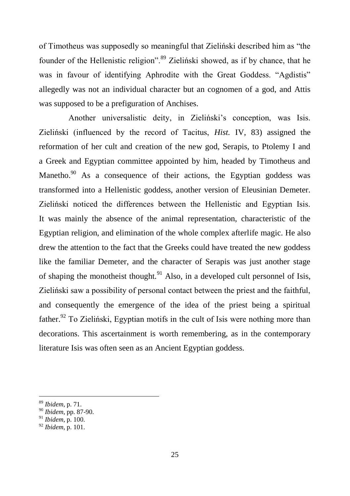of Timotheus was supposedly so meaningful that Zieliński described him as "the founder of the Hellenistic religion".<sup>89</sup> Zieliński showed, as if by chance, that he was in favour of identifying Aphrodite with the Great Goddess. "Agdistis" allegedly was not an individual character but an cognomen of a god, and Attis was supposed to be a prefiguration of Anchises.

Another universalistic deity, in Zieliński"s conception, was Isis. Zieliński (influenced by the record of Tacitus, *Hist.* IV, 83) assigned the reformation of her cult and creation of the new god, Serapis, to Ptolemy I and a Greek and Egyptian committee appointed by him, headed by Timotheus and Manetho.<sup>90</sup> As a consequence of their actions, the Egyptian goddess was transformed into a Hellenistic goddess, another version of Eleusinian Demeter. Zieliński noticed the differences between the Hellenistic and Egyptian Isis. It was mainly the absence of the animal representation, characteristic of the Egyptian religion, and elimination of the whole complex afterlife magic. He also drew the attention to the fact that the Greeks could have treated the new goddess like the familiar Demeter, and the character of Serapis was just another stage of shaping the monotheist thought.<sup>91</sup> Also, in a developed cult personnel of Isis, Zieliński saw a possibility of personal contact between the priest and the faithful, and consequently the emergence of the idea of the priest being a spiritual father.<sup>92</sup> To Zieliński. Egyptian motifs in the cult of Isis were nothing more than decorations. This ascertainment is worth remembering, as in the contemporary literature Isis was often seen as an Ancient Egyptian goddess.

<sup>89</sup> *Ibidem*, p. 71.

<sup>90</sup> *Ibidem*, pp. 87-90.

<sup>91</sup> *Ibidem*, p. 100.

<sup>92</sup> *Ibidem*, p. 101.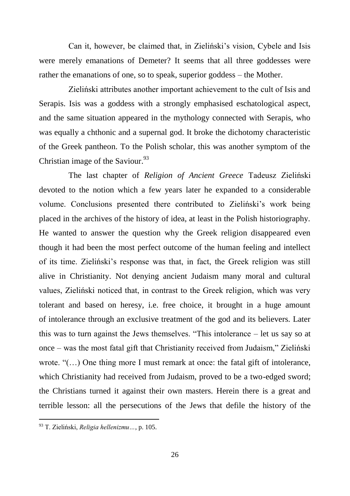Can it, however, be claimed that, in Zieliński"s vision, Cybele and Isis were merely emanations of Demeter? It seems that all three goddesses were rather the emanations of one, so to speak, superior goddess – the Mother.

Zieliński attributes another important achievement to the cult of Isis and Serapis. Isis was a goddess with a strongly emphasised eschatological aspect, and the same situation appeared in the mythology connected with Serapis, who was equally a chthonic and a supernal god. It broke the dichotomy characteristic of the Greek pantheon. To the Polish scholar, this was another symptom of the Christian image of the Saviour.<sup>93</sup>

The last chapter of *Religion of Ancient Greece* Tadeusz Zieliński devoted to the notion which a few years later he expanded to a considerable volume. Conclusions presented there contributed to Zieliński"s work being placed in the archives of the history of idea, at least in the Polish historiography. He wanted to answer the question why the Greek religion disappeared even though it had been the most perfect outcome of the human feeling and intellect of its time. Zieliński"s response was that, in fact, the Greek religion was still alive in Christianity. Not denying ancient Judaism many moral and cultural values, Zieliński noticed that, in contrast to the Greek religion, which was very tolerant and based on heresy, i.e. free choice, it brought in a huge amount of intolerance through an exclusive treatment of the god and its believers. Later this was to turn against the Jews themselves. "This intolerance – let us say so at once – was the most fatal gift that Christianity received from Judaism," Zieliński wrote. "(…) One thing more I must remark at once: the fatal gift of intolerance, which Christianity had received from Judaism, proved to be a two-edged sword; the Christians turned it against their own masters. Herein there is a great and terrible lesson: all the persecutions of the Jews that defile the history of the

<sup>93</sup> T. Zieliński, *Religia hellenizmu…*, p. 105.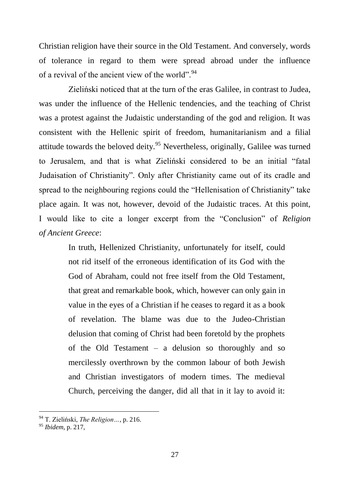Christian religion have their source in the Old Testament. And conversely, words of tolerance in regard to them were spread abroad under the influence of a revival of the ancient view of the world".<sup>94</sup>

Zieliński noticed that at the turn of the eras Galilee, in contrast to Judea, was under the influence of the Hellenic tendencies, and the teaching of Christ was a protest against the Judaistic understanding of the god and religion. It was consistent with the Hellenic spirit of freedom, humanitarianism and a filial attitude towards the beloved deity.<sup>95</sup> Nevertheless, originally, Galilee was turned to Jerusalem, and that is what Zieliński considered to be an initial "fatal Judaisation of Christianity". Only after Christianity came out of its cradle and spread to the neighbouring regions could the "Hellenisation of Christianity" take place again. It was not, however, devoid of the Judaistic traces. At this point, I would like to cite a longer excerpt from the "Conclusion" of *Religion of Ancient Greece*:

> In truth, Hellenized Christianity, unfortunately for itself, could not rid itself of the erroneous identification of its God with the God of Abraham, could not free itself from the Old Testament, that great and remarkable book, which, however can only gain in value in the eyes of a Christian if he ceases to regard it as a book of revelation. The blame was due to the Judeo-Christian delusion that coming of Christ had been foretold by the prophets of the Old Testament – a delusion so thoroughly and so mercilessly overthrown by the common labour of both Jewish and Christian investigators of modern times. The medieval Church, perceiving the danger, did all that in it lay to avoid it:

<sup>94</sup> T. Zieliński, *The Religion…*, p. 216.

<sup>95</sup> *Ibidem*, p. 217,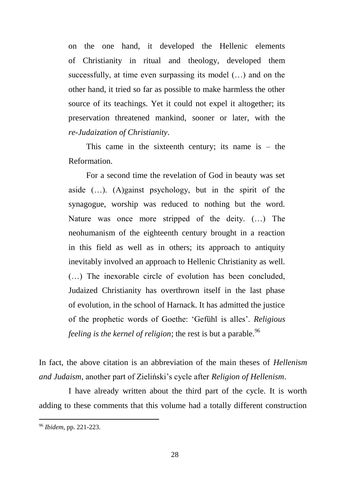on the one hand, it developed the Hellenic elements of Christianity in ritual and theology, developed them successfully, at time even surpassing its model (…) and on the other hand, it tried so far as possible to make harmless the other source of its teachings. Yet it could not expel it altogether; its preservation threatened mankind, sooner or later, with the *re-Judaization of Christianity*.

This came in the sixteenth century; its name is  $-$  the Reformation.

For a second time the revelation of God in beauty was set aside  $(...)$ . (A)gainst psychology, but in the spirit of the synagogue, worship was reduced to nothing but the word. Nature was once more stripped of the deity. (…) The neohumanism of the eighteenth century brought in a reaction in this field as well as in others; its approach to antiquity inevitably involved an approach to Hellenic Christianity as well. (…) The inexorable circle of evolution has been concluded, Judaized Christianity has overthrown itself in the last phase of evolution, in the school of Harnack. It has admitted the justice of the prophetic words of Goethe: "Gefühl is alles". *Religious feeling is the kernel of religion*; the rest is but a parable.<sup>96</sup>

In fact, the above citation is an abbreviation of the main theses of *Hellenism and Judaism*, another part of Zieliński"s cycle after *Religion of Hellenism*.

I have already written about the third part of the cycle. It is worth adding to these comments that this volume had a totally different construction

<sup>96</sup> *Ibidem*, pp. 221-223.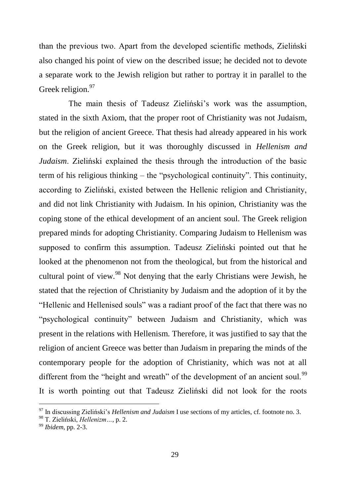than the previous two. Apart from the developed scientific methods, Zieliński also changed his point of view on the described issue; he decided not to devote a separate work to the Jewish religion but rather to portray it in parallel to the Greek religion.<sup>97</sup>

The main thesis of Tadeusz Zieliński"s work was the assumption, stated in the sixth Axiom, that the proper root of Christianity was not Judaism, but the religion of ancient Greece. That thesis had already appeared in his work on the Greek religion, but it was thoroughly discussed in *Hellenism and Judaism*. Zieliński explained the thesis through the introduction of the basic term of his religious thinking – the "psychological continuity". This continuity, according to Zieliński, existed between the Hellenic religion and Christianity and did not link Christianity with Judaism. In his opinion, Christianity was the coping stone of the ethical development of an ancient soul. The Greek religion prepared minds for adopting Christianity. Comparing Judaism to Hellenism was supposed to confirm this assumption. Tadeusz Zieliński pointed out that he looked at the phenomenon not from the theological, but from the historical and cultural point of view.<sup>98</sup> Not denying that the early Christians were Jewish, he stated that the rejection of Christianity by Judaism and the adoption of it by the "Hellenic and Hellenised souls" was a radiant proof of the fact that there was no "psychological continuity" between Judaism and Christianity, which was present in the relations with Hellenism. Therefore, it was justified to say that the religion of ancient Greece was better than Judaism in preparing the minds of the contemporary people for the adoption of Christianity, which was not at all different from the "height and wreath" of the development of an ancient soul.<sup>99</sup> It is worth pointing out that Tadeusz Zieliński did not look for the roots

<sup>97</sup> In discussing Zieliński"s *Hellenism and Judaism* I use sections of my articles, cf. footnote no. 3.

<sup>98</sup> T. Zieliński, *Hellenizm…*, p. 2.

<sup>99</sup> *Ibidem*, pp. 2-3.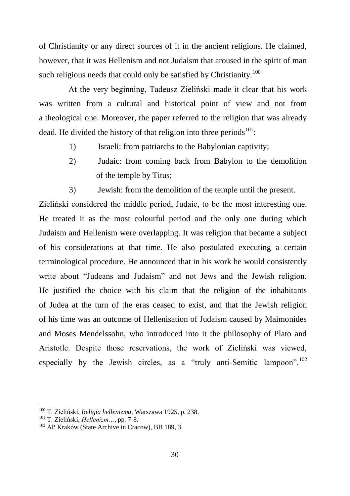of Christianity or any direct sources of it in the ancient religions. He claimed, however, that it was Hellenism and not Judaism that aroused in the spirit of man such religious needs that could only be satisfied by Christianity.<sup>100</sup>

At the very beginning, Tadeusz Zieliński made it clear that his work was written from a cultural and historical point of view and not from a theological one. Moreover, the paper referred to the religion that was already dead. He divided the history of that religion into three periods $101$ :

- 1) Israeli: from patriarchs to the Babylonian captivity;
- 2) Judaic: from coming back from Babylon to the demolition of the temple by Titus;
- 3) Jewish: from the demolition of the temple until the present.

Zieliński considered the middle period, Judaic, to be the most interesting one. He treated it as the most colourful period and the only one during which Judaism and Hellenism were overlapping. It was religion that became a subject of his considerations at that time. He also postulated executing a certain terminological procedure. He announced that in his work he would consistently write about "Judeans and Judaism" and not Jews and the Jewish religion. He justified the choice with his claim that the religion of the inhabitants of Judea at the turn of the eras ceased to exist, and that the Jewish religion of his time was an outcome of Hellenisation of Judaism caused by Maimonides and Moses Mendelssohn, who introduced into it the philosophy of Plato and Aristotle. Despite those reservations, the work of Zieliński was viewed, especially by the Jewish circles, as a "truly anti-Semitic lampoon".<sup>102</sup>

<sup>100</sup> T. Zieliński, *Religia hellenizmu*, Warszawa 1925, p. 238.

<sup>101</sup> T. Zieliński, *Hellenizm…*, pp. 7-8.

<sup>102</sup> AP Kraków (State Archive in Cracow), BB 189, 3.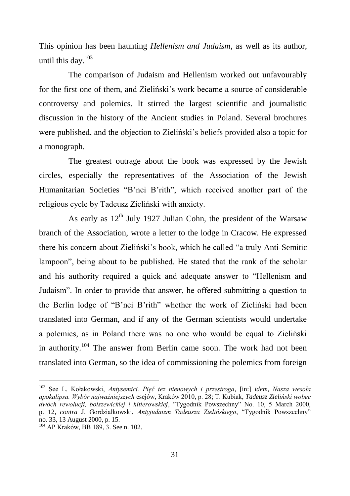This opinion has been haunting *Hellenism and Judaism*, as well as its author, until this day.<sup>103</sup>

The comparison of Judaism and Hellenism worked out unfavourably for the first one of them, and Zieliński"s work became a source of considerable controversy and polemics. It stirred the largest scientific and journalistic discussion in the history of the Ancient studies in Poland. Several brochures were published, and the objection to Zieliński's beliefs provided also a topic for a monograph.

The greatest outrage about the book was expressed by the Jewish circles, especially the representatives of the Association of the Jewish Humanitarian Societies "B"nei B"rith", which received another part of the religious cycle by Tadeusz Zieliński with anxiety.

As early as  $12<sup>th</sup>$  July 1927 Julian Cohn, the president of the Warsaw branch of the Association, wrote a letter to the lodge in Cracow. He expressed there his concern about Zieliński"s book, which he called "a truly Anti-Semitic lampoon", being about to be published. He stated that the rank of the scholar and his authority required a quick and adequate answer to "Hellenism and Judaism". In order to provide that answer, he offered submitting a question to the Berlin lodge of "B"nei B"rith" whether the work of Zieliński had been translated into German, and if any of the German scientists would undertake a polemics, as in Poland there was no one who would be equal to Zieliński in authority.<sup>104</sup> The answer from Berlin came soon. The work had not been translated into German, so the idea of commissioning the polemics from foreign

<sup>103</sup> See L. Kołakowski, *Antysemici. Pięć tez nienowych i przestroga*, [in:] *idem*, *Nasza wesoła apokalipsa. Wybór najważniejszych* esejów, Kraków 2010, p. 28; T. Kubiak, *Tadeusz Zieliński wobec dwóch rewolucji, bolszewickiej i hitlerowskiej*, "Tygodnik Powszechny" No. 10, 5 March 2000, p. 12, *contra* J. Gordziałkowski, *Antyjudaizm Tadeusza Zielińskiego*, "Tygodnik Powszechny" no. 33, 13 August 2000, p. 15.

<sup>104</sup> AP Kraków, BB 189, 3. See n. 102.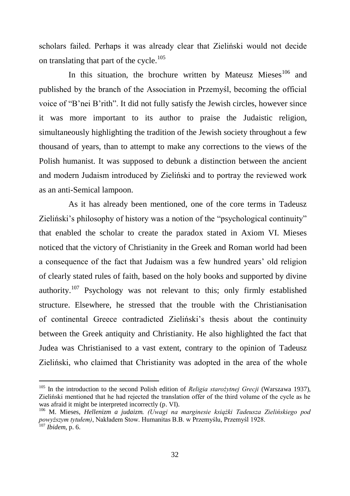scholars failed. Perhaps it was already clear that Zieliński would not decide on translating that part of the cycle.<sup>105</sup>

In this situation, the brochure written by Mateusz Mieses<sup>106</sup> and published by the branch of the Association in Przemyśl, becoming the official voice of "B"nei B"rith". It did not fully satisfy the Jewish circles, however since it was more important to its author to praise the Judaistic religion, simultaneously highlighting the tradition of the Jewish society throughout a few thousand of years, than to attempt to make any corrections to the views of the Polish humanist. It was supposed to debunk a distinction between the ancient and modern Judaism introduced by Zieliński and to portray the reviewed work as an anti-Semical lampoon.

As it has already been mentioned, one of the core terms in Tadeusz Zieliński's philosophy of history was a notion of the "psychological continuity" that enabled the scholar to create the paradox stated in Axiom VI. Mieses noticed that the victory of Christianity in the Greek and Roman world had been a consequence of the fact that Judaism was a few hundred years" old religion of clearly stated rules of faith, based on the holy books and supported by divine authority.<sup>107</sup> Psychology was not relevant to this; only firmly established structure. Elsewhere, he stressed that the trouble with the Christianisation of continental Greece contradicted Zieliński"s thesis about the continuity between the Greek antiquity and Christianity. He also highlighted the fact that Judea was Christianised to a vast extent, contrary to the opinion of Tadeusz Zieliński, who claimed that Christianity was adopted in the area of the whole

<sup>105</sup> In the introduction to the second Polish edition of *Religia starożytnej Grecji* (Warszawa 1937), Zieliński mentioned that he had rejected the translation offer of the third volume of the cycle as he was afraid it might be interpreted incorrectly (p. VI).

<sup>106</sup> M. Mieses, *Hellenizm a judaizm. (Uwagi na marginesie książki Tadeusza Zielińskiego pod powyższym tytułem)*, Nakładem Stow. Humanitas B.B. w Przemyślu, Przemyśl 1928. <sup>107</sup> *Ibidem*, p. 6.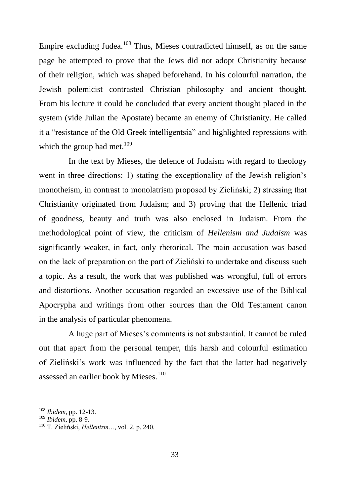Empire excluding Judea.<sup>108</sup> Thus, Mieses contradicted himself, as on the same page he attempted to prove that the Jews did not adopt Christianity because of their religion, which was shaped beforehand. In his colourful narration, the Jewish polemicist contrasted Christian philosophy and ancient thought. From his lecture it could be concluded that every ancient thought placed in the system (vide Julian the Apostate) became an enemy of Christianity. He called it a "resistance of the Old Greek intelligentsia" and highlighted repressions with which the group had met. $109$ 

In the text by Mieses, the defence of Judaism with regard to theology went in three directions: 1) stating the exceptionality of the Jewish religion"s monotheism, in contrast to monolatrism proposed by Zieliński; 2) stressing that Christianity originated from Judaism; and 3) proving that the Hellenic triad of goodness, beauty and truth was also enclosed in Judaism. From the methodological point of view, the criticism of *Hellenism and Judaism* was significantly weaker, in fact, only rhetorical. The main accusation was based on the lack of preparation on the part of Zieliński to undertake and discuss such a topic. As a result, the work that was published was wrongful, full of errors and distortions. Another accusation regarded an excessive use of the Biblical Apocrypha and writings from other sources than the Old Testament canon in the analysis of particular phenomena.

A huge part of Mieses"s comments is not substantial. It cannot be ruled out that apart from the personal temper, this harsh and colourful estimation of Zieliński"s work was influenced by the fact that the latter had negatively assessed an earlier book by Mieses. $110$ 

<sup>108</sup> *Ibidem*, pp. 12-13.

<sup>109</sup> *Ibidem*, pp. 8-9.

<sup>110</sup> T. Zieliński, *Hellenizm…*, vol. 2, p. 240.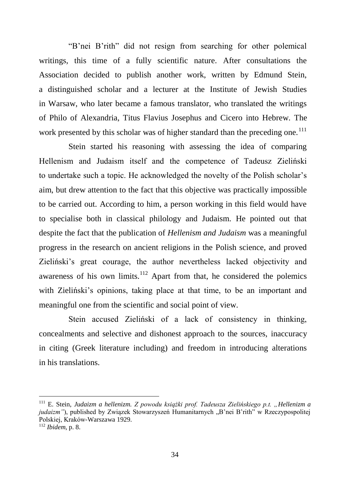"B"nei B"rith" did not resign from searching for other polemical writings, this time of a fully scientific nature. After consultations the Association decided to publish another work, written by Edmund Stein, a distinguished scholar and a lecturer at the Institute of Jewish Studies in Warsaw, who later became a famous translator, who translated the writings of Philo of Alexandria, Titus Flavius Josephus and Cicero into Hebrew. The work presented by this scholar was of higher standard than the preceding one.<sup>111</sup>

Stein started his reasoning with assessing the idea of comparing Hellenism and Judaism itself and the competence of Tadeusz Zieliński to undertake such a topic. He acknowledged the novelty of the Polish scholar"s aim, but drew attention to the fact that this objective was practically impossible to be carried out. According to him, a person working in this field would have to specialise both in classical philology and Judaism. He pointed out that despite the fact that the publication of *Hellenism and Judaism* was a meaningful progress in the research on ancient religions in the Polish science, and proved Zieliński"s great courage, the author nevertheless lacked objectivity and awareness of his own limits.<sup>112</sup> Apart from that, he considered the polemics with Zieliński's opinions, taking place at that time, to be an important and meaningful one from the scientific and social point of view.

Stein accused Zieliński of a lack of consistency in thinking, concealments and selective and dishonest approach to the sources, inaccuracy in citing (Greek literature including) and freedom in introducing alterations in his translations.

<sup>111</sup> E. Stein, *Judaizm a hellenizm. Z powodu książki prof. Tadeusza Zielińskiego p.t. "Hellenizm a*  judaizm"), published by Związek Stowarzyszeń Humanitarnych "B'nei B'rith<sup>"</sup> w Rzeczypospolitej Polskiej, Kraków-Warszawa 1929.

<sup>112</sup> *Ibidem*, p. 8.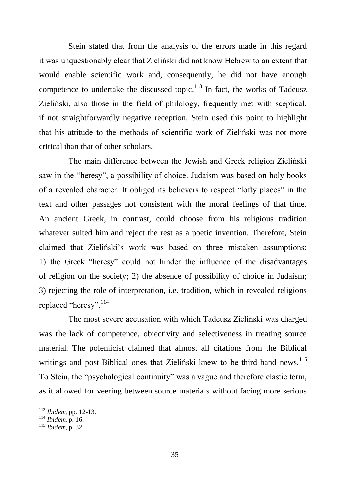Stein stated that from the analysis of the errors made in this regard it was unquestionably clear that Zieliński did not know Hebrew to an extent that would enable scientific work and, consequently, he did not have enough competence to undertake the discussed topic.<sup>113</sup> In fact, the works of Tadeusz Zieliński, also those in the field of philology, frequently met with sceptical, if not straightforwardly negative reception. Stein used this point to highlight that his attitude to the methods of scientific work of Zieliński was not more critical than that of other scholars.

The main difference between the Jewish and Greek religion Zieliński saw in the "heresy", a possibility of choice. Judaism was based on holy books of a revealed character. It obliged its believers to respect "lofty places" in the text and other passages not consistent with the moral feelings of that time. An ancient Greek, in contrast, could choose from his religious tradition whatever suited him and reject the rest as a poetic invention. Therefore, Stein claimed that Zieliński"s work was based on three mistaken assumptions: 1) the Greek "heresy" could not hinder the influence of the disadvantages of religion on the society; 2) the absence of possibility of choice in Judaism; 3) rejecting the role of interpretation, i.e. tradition, which in revealed religions replaced "heresy".<sup>114</sup>

The most severe accusation with which Tadeusz Zieliński was charged was the lack of competence, objectivity and selectiveness in treating source material. The polemicist claimed that almost all citations from the Biblical writings and post-Biblical ones that Zieliński knew to be third-hand news.<sup>115</sup> To Stein, the "psychological continuity" was a vague and therefore elastic term, as it allowed for veering between source materials without facing more serious

<sup>113</sup> *Ibidem*, pp. 12-13.

<sup>114</sup> *Ibidem*, p. 16.

<sup>115</sup> *Ibidem*, p. 32.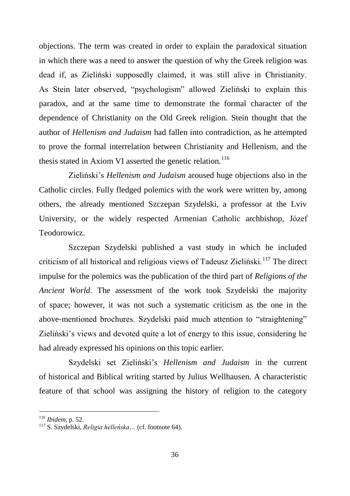objections. The term was created in order to explain the paradoxical situation in which there was a need to answer the question of why the Greek religion was dead if, as Zieliński supposedly claimed, it was still alive in Christianity. As Stein later observed, "psychologism" allowed Zieliński to explain this paradox, and at the same time to demonstrate the formal character of the dependence of Christianity on the Old Greek religion. Stein thought that the author of *Hellenism and Judaism* had fallen into contradiction, as he attempted to prove the formal interrelation between Christianity and Hellenism, and the thesis stated in Axiom VI asserted the genetic relation.<sup>116</sup>

Zieliński"s *Hellenism and Judaism* aroused huge objections also in the Catholic circles. Fully fledged polemics with the work were written by, among others, the already mentioned Szczepan Szydelski, a professor at the Lviv University, or the widely respected Armenian Catholic archbishop, Józef Teodorowicz.

Szczepan Szydelski published a vast study in which he included criticism of all historical and religious views of Tadeusz Zieliński.<sup>117</sup> The direct impulse for the polemics was the publication of the third part of *Religions of the Ancient World*. The assessment of the work took Szydelski the majority of space; however, it was not such a systematic criticism as the one in the above-mentioned brochures. Szydelski paid much attention to "straightening" Zieliński"s views and devoted quite a lot of energy to this issue, considering he had already expressed his opinions on this topic earlier.

Szydelski set Zieliński"s *Hellenism and Judaism* in the current of historical and Biblical writing started by Julius Wellhausen. A characteristic feature of that school was assigning the history of religion to the category

<sup>116</sup> *Ibidem*, p. 52.

<sup>117</sup> S. Szydelski, *Religia helleńska…* (cf. footnote 64).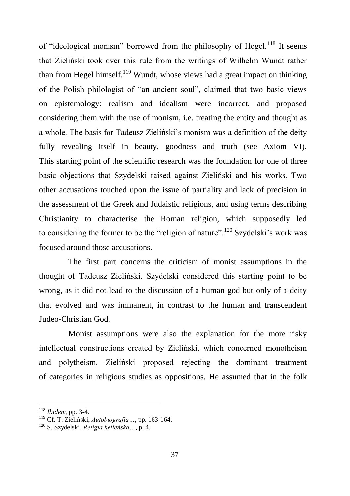of "ideological monism" borrowed from the philosophy of Hegel.<sup>118</sup> It seems that Zieliński took over this rule from the writings of Wilhelm Wundt rather than from Hegel himself.<sup>119</sup> Wundt, whose views had a great impact on thinking of the Polish philologist of "an ancient soul", claimed that two basic views on epistemology: realism and idealism were incorrect, and proposed considering them with the use of monism, i.e. treating the entity and thought as a whole. The basis for Tadeusz Zieliński"s monism was a definition of the deity fully revealing itself in beauty, goodness and truth (see Axiom VI). This starting point of the scientific research was the foundation for one of three basic objections that Szydelski raised against Zieliński and his works. Two other accusations touched upon the issue of partiality and lack of precision in the assessment of the Greek and Judaistic religions, and using terms describing Christianity to characterise the Roman religion, which supposedly led to considering the former to be the "religion of nature".<sup>120</sup> Szydelski's work was focused around those accusations.

The first part concerns the criticism of monist assumptions in the thought of Tadeusz Zieliński. Szydelski considered this starting point to be wrong, as it did not lead to the discussion of a human god but only of a deity that evolved and was immanent, in contrast to the human and transcendent Judeo-Christian God.

Monist assumptions were also the explanation for the more risky intellectual constructions created by Zieliński, which concerned monotheism and polytheism. Zieliński proposed rejecting the dominant treatment of categories in religious studies as oppositions. He assumed that in the folk

<sup>118</sup> *Ibidem*, pp. 3-4.

<sup>119</sup> Cf. T. Zieliński, *Autobiografia…*, pp. 163-164.

<sup>120</sup> S. Szydelski, *Religia helleńska…*, p. 4.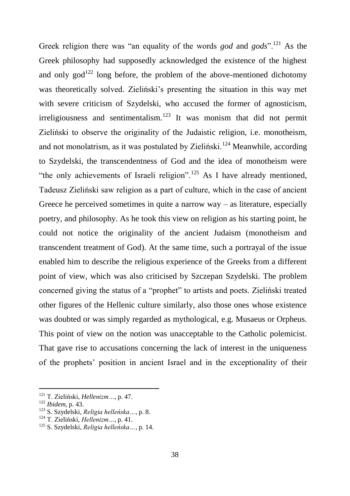Greek religion there was "an equality of the words *god* and *gods*".<sup>121</sup> As the Greek philosophy had supposedly acknowledged the existence of the highest and only  $\gcd^{122}$  long before, the problem of the above-mentioned dichotomy was theoretically solved. Zieliński's presenting the situation in this way met with severe criticism of Szydelski, who accused the former of agnosticism,  $irreligiousness$  and sentimentalism.<sup>123</sup> It was monism that did not permit Zieliński to observe the originality of the Judaistic religion, i.e. monotheism, and not monolatrism, as it was postulated by Zieliński.<sup>124</sup> Meanwhile, according to Szydelski, the transcendentness of God and the idea of monotheism were "the only achievements of Israeli religion".<sup>125</sup> As I have already mentioned, Tadeusz Zieliński saw religion as a part of culture, which in the case of ancient Greece he perceived sometimes in quite a narrow  $way - as$  literature, especially poetry, and philosophy. As he took this view on religion as his starting point, he could not notice the originality of the ancient Judaism (monotheism and transcendent treatment of God). At the same time, such a portrayal of the issue enabled him to describe the religious experience of the Greeks from a different point of view, which was also criticised by Szczepan Szydelski. The problem concerned giving the status of a "prophet" to artists and poets. Zieliński treated other figures of the Hellenic culture similarly, also those ones whose existence was doubted or was simply regarded as mythological, e.g. Musaeus or Orpheus. This point of view on the notion was unacceptable to the Catholic polemicist. That gave rise to accusations concerning the lack of interest in the uniqueness of the prophets" position in ancient Israel and in the exceptionality of their

<sup>121</sup> T. Zieliński, *Hellenizm…*, p. 47.

<sup>122</sup> *Ibidem*, p. 43.

<sup>123</sup> S. Szydelski, *Religia helleńska…*, p. 8.

<sup>124</sup> T. Zieliński, *Hellenizm…*, p. 41.

<sup>125</sup> S. Szydelski, *Religia helleńska…*, p. 14.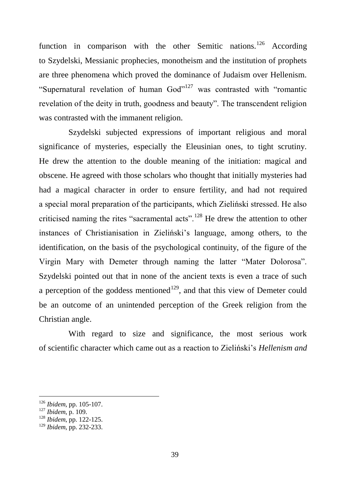function in comparison with the other Semitic nations.<sup>126</sup> According to Szydelski, Messianic prophecies, monotheism and the institution of prophets are three phenomena which proved the dominance of Judaism over Hellenism. "Supernatural revelation of human God"<sup>127</sup> was contrasted with "romantic revelation of the deity in truth, goodness and beauty". The transcendent religion was contrasted with the immanent religion.

Szydelski subjected expressions of important religious and moral significance of mysteries, especially the Eleusinian ones, to tight scrutiny. He drew the attention to the double meaning of the initiation: magical and obscene. He agreed with those scholars who thought that initially mysteries had had a magical character in order to ensure fertility, and had not required a special moral preparation of the participants, which Zieliński stressed. He also criticised naming the rites "sacramental acts".<sup>128</sup> He drew the attention to other instances of Christianisation in Zieliński"s language, among others, to the identification, on the basis of the psychological continuity, of the figure of the Virgin Mary with Demeter through naming the latter "Mater Dolorosa". Szydelski pointed out that in none of the ancient texts is even a trace of such a perception of the goddess mentioned<sup>129</sup>, and that this view of Demeter could be an outcome of an unintended perception of the Greek religion from the Christian angle.

With regard to size and significance, the most serious work of scientific character which came out as a reaction to Zieliński"s *Hellenism and* 

<sup>126</sup> *Ibidem,* pp. 105-107.

<sup>127</sup> *Ibidem*, p. 109.

<sup>128</sup> *Ibidem*, pp. 122-125.

<sup>129</sup> *Ibidem*, pp. 232-233.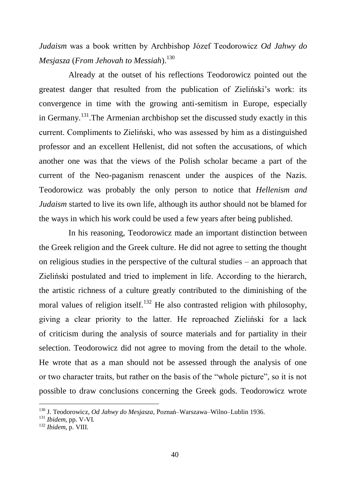*Judaism* was a book written by Archbishop Józef Teodorowicz *Od Jahwy do Mesjasza* (*From Jehovah to Messiah*).<sup>130</sup>

Already at the outset of his reflections Teodorowicz pointed out the greatest danger that resulted from the publication of Zieliński"s work: its convergence in time with the growing anti-semitism in Europe, especially in Germany.<sup>131</sup>.The Armenian archbishop set the discussed study exactly in this current. Compliments to Zieliński, who was assessed by him as a distinguished professor and an excellent Hellenist, did not soften the accusations, of which another one was that the views of the Polish scholar became a part of the current of the Neo-paganism renascent under the auspices of the Nazis. Teodorowicz was probably the only person to notice that *Hellenism and Judaism* started to live its own life, although its author should not be blamed for the ways in which his work could be used a few years after being published.

In his reasoning, Teodorowicz made an important distinction between the Greek religion and the Greek culture. He did not agree to setting the thought on religious studies in the perspective of the cultural studies – an approach that Zieliński postulated and tried to implement in life. According to the hierarch, the artistic richness of a culture greatly contributed to the diminishing of the moral values of religion itself.<sup>132</sup> He also contrasted religion with philosophy, giving a clear priority to the latter. He reproached Zieliński for a lack of criticism during the analysis of source materials and for partiality in their selection. Teodorowicz did not agree to moving from the detail to the whole. He wrote that as a man should not be assessed through the analysis of one or two character traits, but rather on the basis of the "whole picture", so it is not possible to draw conclusions concerning the Greek gods. Teodorowicz wrote

<sup>130</sup> J. Teodorowicz, *Od Jahwy do Mesjasza,* Poznań–Warszawa–Wilno–Lublin 1936.

<sup>131</sup> *Ibidem*, pp. V-VI.

<sup>132</sup> *Ibidem*, p. VIII.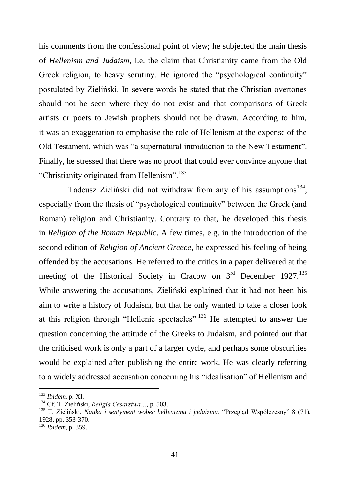his comments from the confessional point of view; he subjected the main thesis of *Hellenism and Judaism*, i.e. the claim that Christianity came from the Old Greek religion, to heavy scrutiny. He ignored the "psychological continuity" postulated by Zieliński. In severe words he stated that the Christian overtones should not be seen where they do not exist and that comparisons of Greek artists or poets to Jewish prophets should not be drawn. According to him, it was an exaggeration to emphasise the role of Hellenism at the expense of the Old Testament, which was "a supernatural introduction to the New Testament". Finally, he stressed that there was no proof that could ever convince anyone that "Christianity originated from Hellenism".<sup>133</sup>

Tadeusz Zieliński did not withdraw from any of his assumptions<sup>134</sup>, especially from the thesis of "psychological continuity" between the Greek (and Roman) religion and Christianity. Contrary to that, he developed this thesis in *Religion of the Roman Republic*. A few times, e.g. in the introduction of the second edition of *Religion of Ancient Greece*, he expressed his feeling of being offended by the accusations. He referred to the critics in a paper delivered at the meeting of the Historical Society in Cracow on  $3<sup>rd</sup>$  December 1927.<sup>135</sup> While answering the accusations, Zieliński explained that it had not been his aim to write a history of Judaism, but that he only wanted to take a closer look at this religion through "Hellenic spectacles".<sup>136</sup> He attempted to answer the question concerning the attitude of the Greeks to Judaism, and pointed out that the criticised work is only a part of a larger cycle, and perhaps some obscurities would be explained after publishing the entire work. He was clearly referring to a widely addressed accusation concerning his "idealisation" of Hellenism and

<sup>133</sup> *Ibidem*, p. XI.

<sup>134</sup> Cf. T. Zieliński, *Religia Cesarstwa…*, p. 503.

<sup>135</sup> T. Zieliński, *Nauka i sentyment wobec hellenizmu i judaizmu*, "Przegląd Współczesny" 8 (71), 1928, pp. 353-370.

<sup>136</sup> *Ibidem*, p. 359.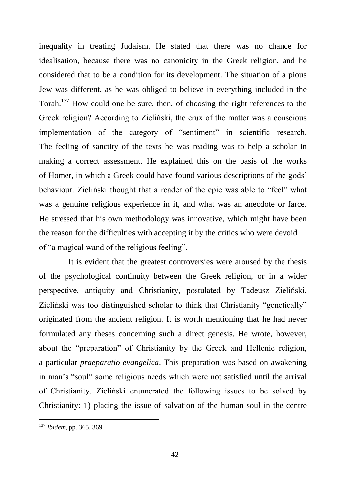inequality in treating Judaism. He stated that there was no chance for idealisation, because there was no canonicity in the Greek religion, and he considered that to be a condition for its development. The situation of a pious Jew was different, as he was obliged to believe in everything included in the Torah.<sup>137</sup> How could one be sure, then, of choosing the right references to the Greek religion? According to Zieliński, the crux of the matter was a conscious implementation of the category of "sentiment" in scientific research. The feeling of sanctity of the texts he was reading was to help a scholar in making a correct assessment. He explained this on the basis of the works of Homer, in which a Greek could have found various descriptions of the gods" behaviour. Zieliński thought that a reader of the epic was able to "feel" what was a genuine religious experience in it, and what was an anecdote or farce. He stressed that his own methodology was innovative, which might have been the reason for the difficulties with accepting it by the critics who were devoid of "a magical wand of the religious feeling".

It is evident that the greatest controversies were aroused by the thesis of the psychological continuity between the Greek religion, or in a wider perspective, antiquity and Christianity, postulated by Tadeusz Zieliński. Zieliński was too distinguished scholar to think that Christianity "genetically" originated from the ancient religion. It is worth mentioning that he had never formulated any theses concerning such a direct genesis. He wrote, however, about the "preparation" of Christianity by the Greek and Hellenic religion, a particular *praeparatio evangelica*. This preparation was based on awakening in man"s "soul" some religious needs which were not satisfied until the arrival of Christianity. Zieliński enumerated the following issues to be solved by Christianity: 1) placing the issue of salvation of the human soul in the centre

<sup>137</sup> *Ibidem*, pp. 365, 369.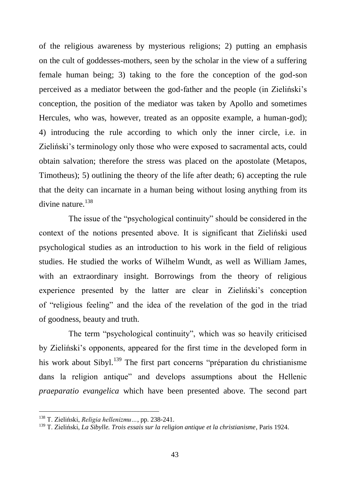of the religious awareness by mysterious religions; 2) putting an emphasis on the cult of goddesses-mothers, seen by the scholar in the view of a suffering female human being; 3) taking to the fore the conception of the god-son perceived as a mediator between the god-father and the people (in Zieliński"s conception, the position of the mediator was taken by Apollo and sometimes Hercules, who was, however, treated as an opposite example, a human-god); 4) introducing the rule according to which only the inner circle, i.e. in Zieliński"s terminology only those who were exposed to sacramental acts, could obtain salvation; therefore the stress was placed on the apostolate (Metapos, Timotheus); 5) outlining the theory of the life after death; 6) accepting the rule that the deity can incarnate in a human being without losing anything from its divine nature.<sup>138</sup>

The issue of the "psychological continuity" should be considered in the context of the notions presented above. It is significant that Zieliński used psychological studies as an introduction to his work in the field of religious studies. He studied the works of Wilhelm Wundt, as well as William James, with an extraordinary insight. Borrowings from the theory of religious experience presented by the latter are clear in Zieliński"s conception of "religious feeling" and the idea of the revelation of the god in the triad of goodness, beauty and truth.

The term "psychological continuity", which was so heavily criticised by Zieliński"s opponents, appeared for the first time in the developed form in his work about Sibyl.<sup>139</sup> The first part concerns "préparation du christianisme" dans la religion antique" and develops assumptions about the Hellenic *praeparatio evangelica* which have been presented above. The second part

<sup>138</sup> T. Zieliński, *Religia hellenizmu…*, pp. 238-241.

<sup>139</sup> T. Zieliński, *La Sibylle. Trois essais sur la religion antique et la christianisme*, Paris 1924.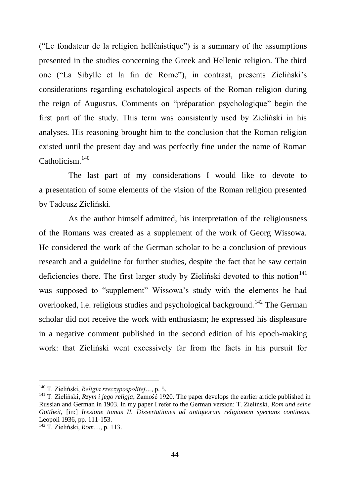("Le fondateur de la religion hellénistique") is a summary of the assumptions presented in the studies concerning the Greek and Hellenic religion. The third one ("La Sibylle et la fin de Rome"), in contrast, presents Zieliński"s considerations regarding eschatological aspects of the Roman religion during the reign of Augustus. Comments on "préparation psychologique" begin the first part of the study. This term was consistently used by Zieliński in his analyses. His reasoning brought him to the conclusion that the Roman religion existed until the present day and was perfectly fine under the name of Roman Catholicism.<sup>140</sup>

The last part of my considerations I would like to devote to a presentation of some elements of the vision of the Roman religion presented by Tadeusz Zieliński.

As the author himself admitted, his interpretation of the religiousness of the Romans was created as a supplement of the work of Georg Wissowa. He considered the work of the German scholar to be a conclusion of previous research and a guideline for further studies, despite the fact that he saw certain deficiencies there. The first larger study by Zieliński devoted to this notion<sup>141</sup> was supposed to "supplement" Wissowa"s study with the elements he had overlooked, i.e. religious studies and psychological background.<sup>142</sup> The German scholar did not receive the work with enthusiasm; he expressed his displeasure in a negative comment published in the second edition of his epoch-making work: that Zieliński went excessively far from the facts in his pursuit for

<sup>140</sup> T. Zieliński, *Religia rzeczypospolitej…*, p. 5.

<sup>141</sup> T. Zieliński, *Rzym i jego religja*, Zamość 1920. The paper develops the earlier article published in Russian and German in 1903. In my paper I refer to the German version: T. Zieliński, *Rom und seine Gottheit*, [in:] *Iresione tomus II. Dissertationes ad antiquorum religionem spectans continens*, Leopoli 1936, pp. 111-153.

<sup>142</sup> T. Zieliński, *Rom*…, p. 113.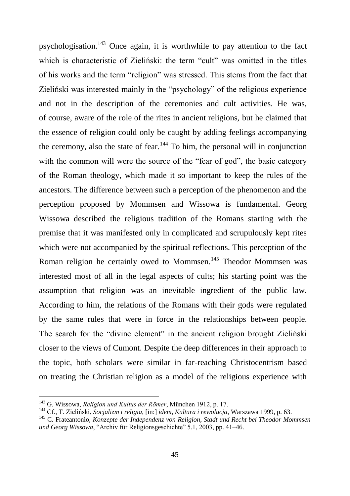psychologisation.<sup>143</sup> Once again, it is worthwhile to pay attention to the fact which is characteristic of Zieliński: the term "cult" was omitted in the titles of his works and the term "religion" was stressed. This stems from the fact that Zieliński was interested mainly in the "psychology" of the religious experience and not in the description of the ceremonies and cult activities. He was, of course, aware of the role of the rites in ancient religions, but he claimed that the essence of religion could only be caught by adding feelings accompanying the ceremony, also the state of fear.  $144$  To him, the personal will in conjunction with the common will were the source of the "fear of god", the basic category of the Roman theology, which made it so important to keep the rules of the ancestors. The difference between such a perception of the phenomenon and the perception proposed by Mommsen and Wissowa is fundamental. Georg Wissowa described the religious tradition of the Romans starting with the premise that it was manifested only in complicated and scrupulously kept rites which were not accompanied by the spiritual reflections. This perception of the Roman religion he certainly owed to Mommsen.<sup>145</sup> Theodor Mommsen was interested most of all in the legal aspects of cults; his starting point was the assumption that religion was an inevitable ingredient of the public law. According to him, the relations of the Romans with their gods were regulated by the same rules that were in force in the relationships between people. The search for the "divine element" in the ancient religion brought Zieliński closer to the views of Cumont. Despite the deep differences in their approach to the topic, both scholars were similar in far-reaching Christocentrism based on treating the Christian religion as a model of the religious experience with

<sup>143</sup> G. Wissowa, *Religion und Kultus der Römer*, München 1912, p. 17.

<sup>144</sup> Cf., T. Zieliński, *Socjalizm i religia*, [in:] *idem*, *Kultura i rewolucja*, Warszawa 1999, p. 63.

<sup>145</sup> C. Frateantonio, *Konzepte der Independenz von Religion, Stadt und Recht bei Theodor Mommsen und Georg Wissowa*, "Archiv für Religionsgeschichte" 5.1, 2003, pp. 41–46.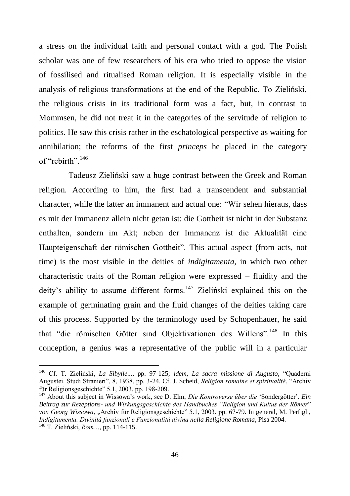a stress on the individual faith and personal contact with a god. The Polish scholar was one of few researchers of his era who tried to oppose the vision of fossilised and ritualised Roman religion. It is especially visible in the analysis of religious transformations at the end of the Republic. To Zieliński, the religious crisis in its traditional form was a fact, but, in contrast to Mommsen, he did not treat it in the categories of the servitude of religion to politics. He saw this crisis rather in the eschatological perspective as waiting for annihilation; the reforms of the first *princeps* he placed in the category of "rebirth"<sup>146</sup>

Tadeusz Zieliński saw a huge contrast between the Greek and Roman religion. According to him, the first had a transcendent and substantial character, while the latter an immanent and actual one: "Wir sehen hieraus, dass es mit der Immanenz allein nicht getan ist: die Gottheit ist nicht in der Substanz enthalten, sondern im Akt; neben der Immanenz ist die Aktualität eine Haupteigenschaft der römischen Gottheit". This actual aspect (from acts, not time) is the most visible in the deities of *indigitamenta*, in which two other characteristic traits of the Roman religion were expressed – fluidity and the deity's ability to assume different forms.<sup>147</sup> Zieliński explained this on the example of germinating grain and the fluid changes of the deities taking care of this process. Supported by the terminology used by Schopenhauer, he said that "die römischen Götter sind Objektivationen des Willens".<sup>148</sup> In this conception, a genius was a representative of the public will in a particular

<sup>146</sup> Cf. T. Zieliński, *La Sibylle...*, pp. 97-125; *idem*, *La sacra missione di Augusto*, "Quaderni Augustei. Studi Stranieri", 8, 1938, pp. 3-24. Cf. J. Scheid, *Religion romaine et spiritualité*, "Archiv für Religionsgeschichte" 5.1, 2003, pp. 198-209.

<sup>147</sup> About this subject in Wissowa"s work, see D. Elm, *Die Kontroverse über die* "Sondergötter". *Ein Beitrag zur Rezeptions- und Wirkungsgeschichte des Handbuches "Religion und Kultus der Römer*" *von Georg Wissowa*, "Archiv für Religionsgeschichte" 5.1, 2003, pp. 67-79. In general, M. Perfigli, *Indigitamenta. Divinità funzionali e Funzionalità divina nella Religione Romana*, Pisa 2004. <sup>148</sup> T. Zieliński, *Rom…*, pp. 114-115.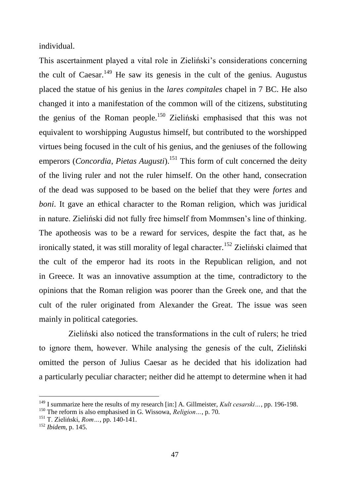individual.

This ascertainment played a vital role in Zieliński"s considerations concerning the cult of Caesar.<sup>149</sup> He saw its genesis in the cult of the genius. Augustus placed the statue of his genius in the *lares compitales* chapel in 7 BC. He also changed it into a manifestation of the common will of the citizens, substituting the genius of the Roman people.<sup>150</sup> Zieliński emphasised that this was not equivalent to worshipping Augustus himself, but contributed to the worshipped virtues being focused in the cult of his genius, and the geniuses of the following emperors (*Concordia*, *Pietas Augusti*).<sup>151</sup> This form of cult concerned the deity of the living ruler and not the ruler himself. On the other hand, consecration of the dead was supposed to be based on the belief that they were *fortes* and *boni*. It gave an ethical character to the Roman religion, which was juridical in nature. Zieliński did not fully free himself from Mommsen"s line of thinking. The apotheosis was to be a reward for services, despite the fact that, as he ironically stated, it was still morality of legal character.<sup>152</sup> Zieliński claimed that the cult of the emperor had its roots in the Republican religion, and not in Greece. It was an innovative assumption at the time, contradictory to the opinions that the Roman religion was poorer than the Greek one, and that the cult of the ruler originated from Alexander the Great. The issue was seen mainly in political categories.

Zieliński also noticed the transformations in the cult of rulers; he tried to ignore them, however. While analysing the genesis of the cult, Zieliński omitted the person of Julius Caesar as he decided that his idolization had a particularly peculiar character; neither did he attempt to determine when it had

<sup>&</sup>lt;sup>149</sup> I summarize here the results of my research [in:] A. Gillmeister, *Kult cesarski*..., pp. 196-198.

<sup>150</sup> The reform is also emphasised in G. Wissowa, *Religion…*, p. 70.

<sup>151</sup> T. Zieliński, *Rom…*, pp. 140-141.

<sup>152</sup> *Ibidem*, p. 145.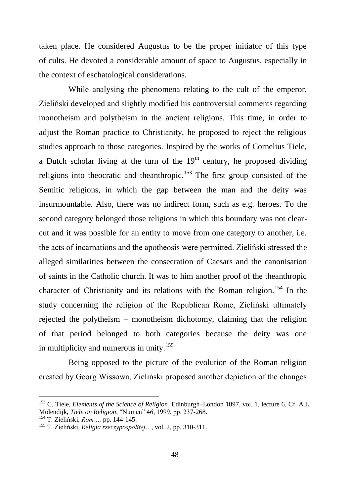taken place. He considered Augustus to be the proper initiator of this type of cults. He devoted a considerable amount of space to Augustus, especially in the context of eschatological considerations.

While analysing the phenomena relating to the cult of the emperor, Zieliński developed and slightly modified his controversial comments regarding monotheism and polytheism in the ancient religions. This time, in order to adjust the Roman practice to Christianity, he proposed to reject the religious studies approach to those categories. Inspired by the works of Cornelius Tiele, a Dutch scholar living at the turn of the  $19<sup>th</sup>$  century, he proposed dividing religions into theocratic and theanthropic.<sup>153</sup> The first group consisted of the Semitic religions, in which the gap between the man and the deity was insurmountable. Also, there was no indirect form, such as e.g. heroes. To the second category belonged those religions in which this boundary was not clearcut and it was possible for an entity to move from one category to another, i.e. the acts of incarnations and the apotheosis were permitted. Zieliński stressed the alleged similarities between the consecration of Caesars and the canonisation of saints in the Catholic church. It was to him another proof of the theanthropic character of Christianity and its relations with the Roman religion.<sup>154</sup> In the study concerning the religion of the Republican Rome, Zieliński ultimately rejected the polytheism – monotheism dichotomy, claiming that the religion of that period belonged to both categories because the deity was one in multiplicity and numerous in unity.<sup>155</sup>

Being opposed to the picture of the evolution of the Roman religion created by Georg Wissowa, Zieliński proposed another depiction of the changes

<sup>153</sup> C. Tiele, *Elements of the Science of Religion*, Edinburgh–London 1897, vol. 1, lecture 6. Cf. A.L. Molendijk, *Tiele on Religion*, "Numen" 46, 1999, pp. 237-268.

<sup>154</sup> T. Zieliński, *Rom…,* pp. 144-145.

<sup>155</sup> T. Zieliński, *Religia rzeczypospolitej…*, vol. 2, pp. 310-311.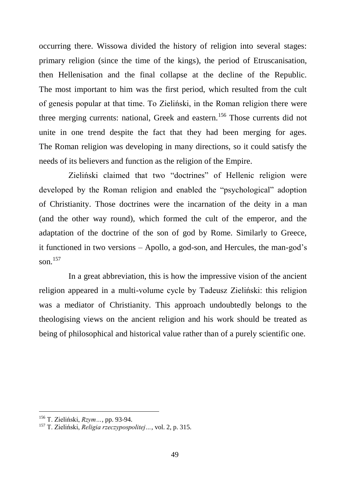occurring there. Wissowa divided the history of religion into several stages: primary religion (since the time of the kings), the period of Etruscanisation, then Hellenisation and the final collapse at the decline of the Republic. The most important to him was the first period, which resulted from the cult of genesis popular at that time. To Zieliński, in the Roman religion there were three merging currents: national, Greek and eastern.<sup>156</sup> Those currents did not unite in one trend despite the fact that they had been merging for ages. The Roman religion was developing in many directions, so it could satisfy the needs of its believers and function as the religion of the Empire.

Zieliński claimed that two "doctrines" of Hellenic religion were developed by the Roman religion and enabled the "psychological" adoption of Christianity. Those doctrines were the incarnation of the deity in a man (and the other way round), which formed the cult of the emperor, and the adaptation of the doctrine of the son of god by Rome. Similarly to Greece, it functioned in two versions – Apollo, a god-son, and Hercules, the man-god"s son $^{157}$ 

In a great abbreviation, this is how the impressive vision of the ancient religion appeared in a multi-volume cycle by Tadeusz Zieliński: this religion was a mediator of Christianity. This approach undoubtedly belongs to the theologising views on the ancient religion and his work should be treated as being of philosophical and historical value rather than of a purely scientific one.

<sup>156</sup> T. Zieliński, *Rzym…*, pp. 93-94.

<sup>157</sup> T. Zieliński, *Religia rzeczypospolitej…*, vol. 2, p. 315.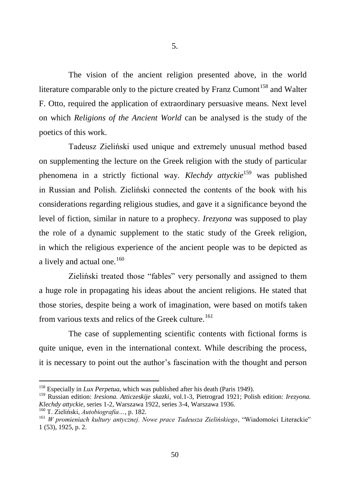The vision of the ancient religion presented above, in the world literature comparable only to the picture created by Franz Cumont<sup>158</sup> and Walter F. Otto, required the application of extraordinary persuasive means. Next level on which *Religions of the Ancient World* can be analysed is the study of the poetics of this work.

Tadeusz Zieliński used unique and extremely unusual method based on supplementing the lecture on the Greek religion with the study of particular phenomena in a strictly fictional way. *Klechdy attyckie*<sup>159</sup> was published in Russian and Polish. Zieliński connected the contents of the book with his considerations regarding religious studies, and gave it a significance beyond the level of fiction, similar in nature to a prophecy. *Irezyona* was supposed to play the role of a dynamic supplement to the static study of the Greek religion, in which the religious experience of the ancient people was to be depicted as a lively and actual one.<sup>160</sup>

Zieliński treated those "fables" very personally and assigned to them a huge role in propagating his ideas about the ancient religions. He stated that those stories, despite being a work of imagination, were based on motifs taken from various texts and relics of the Greek culture.<sup>161</sup>

The case of supplementing scientific contents with fictional forms is quite unique, even in the international context. While describing the process, it is necessary to point out the author"s fascination with the thought and person

<sup>158</sup> Especially in *Lux Perpetua*, which was published after his death (Paris 1949).

<sup>159</sup> Russian edition: *Iresiona. Atticzeskije skazki*, vol.1-3, Pietrograd 1921; Polish edition: *Irezyona. Klechdy attyckie*, series 1-2, Warszawa 1922, series 3-4, Warszawa 1936.

<sup>160</sup> T. Zieliński, *Autobiografia…*, p. 182.

<sup>161</sup> *W promieniach kultury antycznej. Nowe prace Tadeusza Zielińskiego*, "Wiadomości Literackie" 1 (53), 1925, p. 2.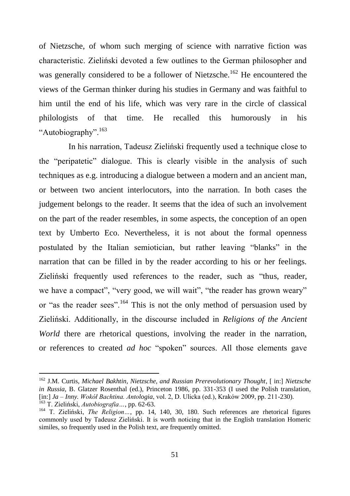of Nietzsche, of whom such merging of science with narrative fiction was characteristic. Zieliński devoted a few outlines to the German philosopher and was generally considered to be a follower of Nietzsche.<sup>162</sup> He encountered the views of the German thinker during his studies in Germany and was faithful to him until the end of his life, which was very rare in the circle of classical philologists of that time. He recalled this humorously in his "Autobiography".<sup>163</sup>

In his narration, Tadeusz Zieliński frequently used a technique close to the "peripatetic" dialogue. This is clearly visible in the analysis of such techniques as e.g. introducing a dialogue between a modern and an ancient man, or between two ancient interlocutors, into the narration. In both cases the judgement belongs to the reader. It seems that the idea of such an involvement on the part of the reader resembles, in some aspects, the conception of an open text by Umberto Eco. Nevertheless, it is not about the formal openness postulated by the Italian semiotician, but rather leaving "blanks" in the narration that can be filled in by the reader according to his or her feelings. Zieliński frequently used references to the reader, such as "thus, reader, we have a compact", "very good, we will wait", "the reader has grown weary" or "as the reader sees".<sup>164</sup> This is not the only method of persuasion used by Zieliński. Additionally, in the discourse included in *Religions of the Ancient World* there are rhetorical questions, involving the reader in the narration, or references to created *ad hoc* "spoken" sources. All those elements gave

<sup>162</sup> J.M. Curtis, *Michael Bakhtin, Nietzsche, and Russian Prerevolutionary Thought*, [ in:] *Nietzsche in Russia*, B. Glatzer Rosenthal (ed.), Princeton 1986, pp. 331-353 (I used the Polish translation, [in:] *Ja – Inny. Wokół Bachtina. Antologia*, vol. 2, D. Ulicka (ed.), Kraków 2009, pp. 211-230). <sup>163</sup> T. Zieliński, *Autobiografia…*, pp. 62-63.

<sup>164</sup> T. Zieliński, *The Religion…*, pp. 14, 140, 30, 180. Such references are rhetorical figures commonly used by Tadeusz Zieliński. It is worth noticing that in the English translation Homeric similes, so frequently used in the Polish text, are frequently omitted.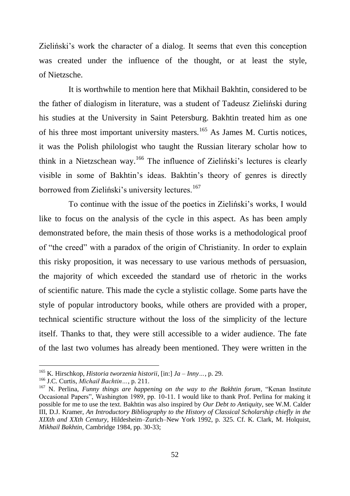Zieliński"s work the character of a dialog. It seems that even this conception was created under the influence of the thought, or at least the style, of Nietzsche.

It is worthwhile to mention here that Mikhail Bakhtin, considered to be the father of dialogism in literature, was a student of Tadeusz Zieliński during his studies at the University in Saint Petersburg. Bakhtin treated him as one of his three most important university masters.<sup>165</sup> As James M. Curtis notices, it was the Polish philologist who taught the Russian literary scholar how to think in a Nietzschean way.<sup>166</sup> The influence of Zieliński's lectures is clearly visible in some of Bakhtin"s ideas. Bakhtin"s theory of genres is directly borrowed from Zieliński's university lectures.<sup>167</sup>

To continue with the issue of the poetics in Zieliński"s works, I would like to focus on the analysis of the cycle in this aspect. As has been amply demonstrated before, the main thesis of those works is a methodological proof of "the creed" with a paradox of the origin of Christianity. In order to explain this risky proposition, it was necessary to use various methods of persuasion, the majority of which exceeded the standard use of rhetoric in the works of scientific nature. This made the cycle a stylistic collage. Some parts have the style of popular introductory books, while others are provided with a proper, technical scientific structure without the loss of the simplicity of the lecture itself. Thanks to that, they were still accessible to a wider audience. The fate of the last two volumes has already been mentioned. They were written in the

<sup>165</sup> K. Hirschkop, *Historia tworzenia historii*, [in:] *Ja – Inny…*, p. 29.

<sup>166</sup> J.C. Curtis, *Michaił Bachtin…*, p. 211.

<sup>167</sup> N. Perlina, *Funny things are happening on the way to the Bakhtin forum*, "Kenan Institute Occasional Papers", Washington 1989, pp. 10-11. I would like to thank Prof. Perlina for making it possible for me to use the text. Bakhtin was also inspired by *Our Debt to Antiquity*, see W.M. Calder III, D.J. Kramer, *An Introductory Bibliography to the History of Classical Scholarship chiefly in the XIXth and XXth Century*, Hildesheim–Zurich–New York 1992, p. 325. Cf. K. Clark, M. Holquist, *Mikhail Bakhtin,* Cambridge 1984, pp. 30-33;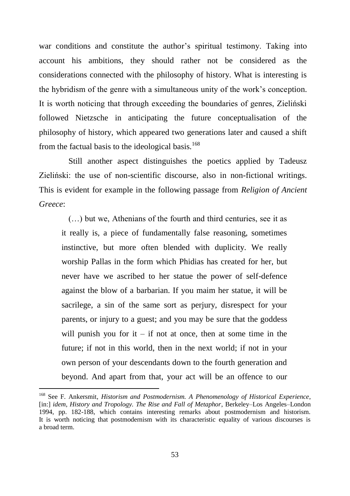war conditions and constitute the author's spiritual testimony. Taking into account his ambitions, they should rather not be considered as the considerations connected with the philosophy of history. What is interesting is the hybridism of the genre with a simultaneous unity of the work"s conception. It is worth noticing that through exceeding the boundaries of genres, Zieliński followed Nietzsche in anticipating the future conceptualisation of the philosophy of history, which appeared two generations later and caused a shift from the factual basis to the ideological basis.<sup>168</sup>

Still another aspect distinguishes the poetics applied by Tadeusz Zieliński: the use of non-scientific discourse, also in non-fictional writings. This is evident for example in the following passage from *Religion of Ancient Greece*:

(…) but we, Athenians of the fourth and third centuries, see it as it really is, a piece of fundamentally false reasoning, sometimes instinctive, but more often blended with duplicity. We really worship Pallas in the form which Phidias has created for her, but never have we ascribed to her statue the power of self-defence against the blow of a barbarian. If you maim her statue, it will be sacrilege, a sin of the same sort as perjury, disrespect for your parents, or injury to a guest; and you may be sure that the goddess will punish you for it – if not at once, then at some time in the future; if not in this world, then in the next world; if not in your own person of your descendants down to the fourth generation and beyond. And apart from that, your act will be an offence to our

<sup>168</sup> See F. Ankersmit, *Historism and Postmodernism. A Phenomenology of Historical Experience*, [in:] *idem*, *History and Tropology. The Rise and Fall of Metaphor*, Berkeley–Los Angeles–London 1994, pp. 182-188, which contains interesting remarks about postmodernism and historism. It is worth noticing that postmodernism with its characteristic equality of various discourses is a broad term.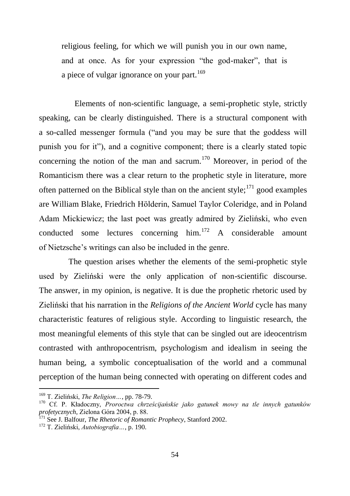religious feeling, for which we will punish you in our own name, and at once. As for your expression "the god-maker", that is a piece of vulgar ignorance on your part.<sup>169</sup>

Elements of non-scientific language, a semi-prophetic style, strictly speaking, can be clearly distinguished. There is a structural component with a so-called messenger formula ("and you may be sure that the goddess will punish you for it"), and a cognitive component; there is a clearly stated topic concerning the notion of the man and sacrum.<sup>170</sup> Moreover, in period of the Romanticism there was a clear return to the prophetic style in literature, more often patterned on the Biblical style than on the ancient style; $^{171}$  good examples are William Blake, Friedrich Hölderin, Samuel Taylor Coleridge, and in Poland Adam Mickiewicz; the last poet was greatly admired by Zieliński, who even conducted some lectures concerning him.<sup>172</sup> A considerable amount of Nietzsche"s writings can also be included in the genre.

The question arises whether the elements of the semi-prophetic style used by Zieliński were the only application of non-scientific discourse. The answer, in my opinion, is negative. It is due the prophetic rhetoric used by Zieliński that his narration in the *Religions of the Ancient World* cycle has many characteristic features of religious style. According to linguistic research, the most meaningful elements of this style that can be singled out are ideocentrism contrasted with anthropocentrism, psychologism and idealism in seeing the human being, a symbolic conceptualisation of the world and a communal perception of the human being connected with operating on different codes and

<sup>169</sup> T. Zieliński, *The Religion…*, pp. 78-79.

<sup>170</sup> Cf. P. Kładoczny, *Proroctwa chrześcijańskie jako gatunek mowy na tle innych gatunków profetycznych*, Zielona Góra 2004, p. 88.

<sup>171</sup> See J. Balfour, *The Rhetoric of Romantic Prophecy*, Stanford 2002.

<sup>172</sup> T. Zieliński, *Autobiografia…*, p. 190.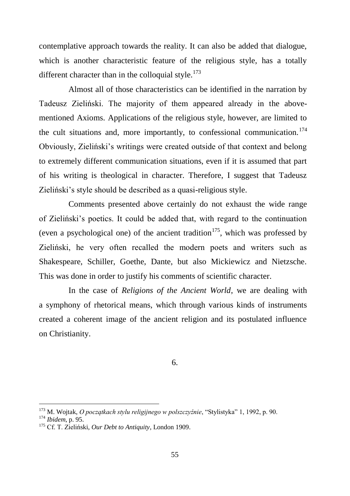contemplative approach towards the reality. It can also be added that dialogue, which is another characteristic feature of the religious style, has a totally different character than in the colloquial style.<sup>173</sup>

Almost all of those characteristics can be identified in the narration by Tadeusz Zieliński. The majority of them appeared already in the abovementioned Axioms. Applications of the religious style, however, are limited to the cult situations and, more importantly, to confessional communication.<sup>174</sup> Obviously, Zieliński"s writings were created outside of that context and belong to extremely different communication situations, even if it is assumed that part of his writing is theological in character. Therefore, I suggest that Tadeusz Zieliński"s style should be described as a quasi-religious style.

Comments presented above certainly do not exhaust the wide range of Zieliński"s poetics. It could be added that, with regard to the continuation (even a psychological one) of the ancient tradition<sup>175</sup>, which was professed by Zieliński, he very often recalled the modern poets and writers such as Shakespeare, Schiller, Goethe, Dante, but also Mickiewicz and Nietzsche. This was done in order to justify his comments of scientific character.

In the case of *Religions of the Ancient World*, we are dealing with a symphony of rhetorical means, which through various kinds of instruments created a coherent image of the ancient religion and its postulated influence on Christianity.

6.

<sup>173</sup> M. Wojtak, *O początkach stylu religijnego w polszczyźnie*, "Stylistyka" 1, 1992, p. 90. <sup>174</sup> *Ibidem*, p. 95.

<sup>175</sup> Cf. T. Zieliński, *Our Debt to Antiquity*, London 1909.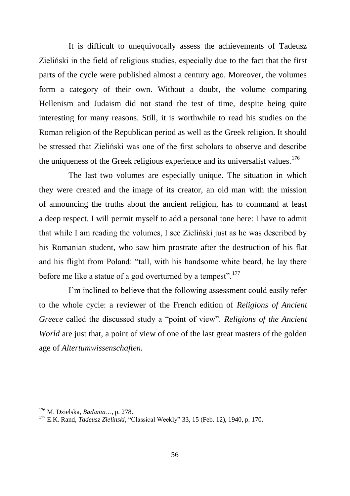It is difficult to unequivocally assess the achievements of Tadeusz Zieliński in the field of religious studies, especially due to the fact that the first parts of the cycle were published almost a century ago. Moreover, the volumes form a category of their own. Without a doubt, the volume comparing Hellenism and Judaism did not stand the test of time, despite being quite interesting for many reasons. Still, it is worthwhile to read his studies on the Roman religion of the Republican period as well as the Greek religion. It should be stressed that Zieliński was one of the first scholars to observe and describe the uniqueness of the Greek religious experience and its universalist values.<sup>176</sup>

The last two volumes are especially unique. The situation in which they were created and the image of its creator, an old man with the mission of announcing the truths about the ancient religion, has to command at least a deep respect. I will permit myself to add a personal tone here: I have to admit that while I am reading the volumes, I see Zieliński just as he was described by his Romanian student, who saw him prostrate after the destruction of his flat and his flight from Poland: "tall, with his handsome white beard, he lay there before me like a statue of a god overturned by a tempest".<sup>177</sup>

I"m inclined to believe that the following assessment could easily refer to the whole cycle: a reviewer of the French edition of *Religions of Ancient Greece* called the discussed study a "point of view". *Religions of the Ancient World* are just that, a point of view of one of the last great masters of the golden age of *Altertumwissenschaften.*

<sup>176</sup> M. Dzielska, *Badania…*, p. 278.

<sup>177</sup> E.K. Rand, *Tadeusz Zielinski*, "Classical Weekly" 33, 15 (Feb. 12), 1940, p. 170.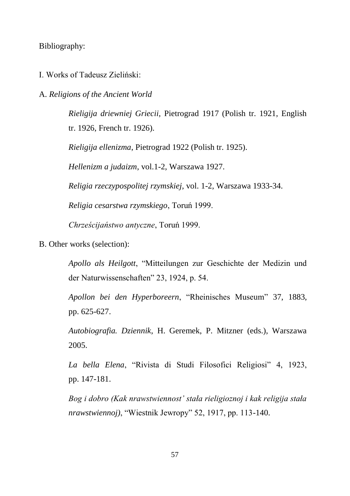Bibliography:

I. Works of Tadeusz Zieliński:

A. *Religions of the Ancient World*

*Rieligija driewniej Griecii*, Pietrograd 1917 (Polish tr. 1921, English tr. 1926, French tr. 1926).

*Rieligija ellenizma*, Pietrograd 1922 (Polish tr. 1925).

*Hellenizm a judaizm*, vol.1-2, Warszawa 1927.

*Religia rzeczypospolitej rzymskiej*, vol. 1-2, Warszawa 1933-34.

*Religia cesarstwa rzymskiego*, Toruń 1999.

*Chrześcijaństwo antyczne*, Toruń 1999.

B. Other works (selection):

*Apollo als Heilgott*, "Mitteilungen zur Geschichte der Medizin und der Naturwissenschaften" 23, 1924, p. 54.

*Apollon bei den Hyperboreern*, "Rheinisches Museum" 37, 1883, pp. 625-627.

*Autobiografia. Dziennik*, H. Geremek, P. Mitzner (eds.), Warszawa 2005.

*La bella Elena*, "Rivista di Studi Filosofici Religiosi" 4, 1923, pp. 147-181.

*Bog i dobro (Kak nrawstwiennost' stała rieligioznoj i kak religija stała nrawstwiennoj)*, "Wiestnik Jewropy" 52, 1917, pp. 113-140.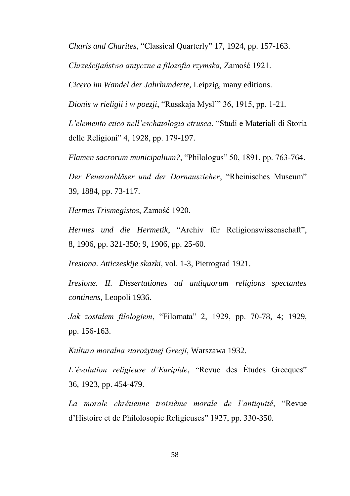*Charis and Charites*, "Classical Quarterly" 17, 1924, pp. 157-163.

*Chrześcijaństwo antyczne a filozofia rzymska,* Zamość 1921.

*Cicero im Wandel der Jahrhunderte*, Leipzig, many editions.

*Dionis w rieligii i w poezji*, "Russkaja Mysl"" 36, 1915, pp. 1-21.

*L'elemento etico nell'eschatologia etrusca*, "Studi e Materiali di Storia delle Religioni" 4, 1928, pp. 179-197.

*Flamen sacrorum municipalium?*, "Philologus" 50, 1891, pp. 763-764.

*Der Feueranbläser und der Dornauszieher*, "Rheinisches Museum" 39, 1884, pp. 73-117.

*Hermes Trismegistos*, Zamość 1920.

*Hermes und die Hermetik*, "Archiv für Religionswissenschaft", 8, 1906, pp. 321-350; 9, 1906, pp. 25-60.

*Iresiona. Atticzeskije skazki*, vol. 1-3, Pietrograd 1921.

*Iresione. II. Dissertationes ad antiquorum religions spectantes continens*, Leopoli 1936.

*Jak zostałem filologiem*, "Filomata" 2, 1929, pp. 70-78, 4; 1929, pp. 156-163.

*Kultura moralna starożytnej Grecji*, Warszawa 1932.

*L'évolution religieuse d'Euripide*, "Revue des Ètudes Grecques" 36, 1923, pp. 454-479.

*La morale chrétienne troisième morale de l'antiquité*, "Revue d"Histoire et de Philolosopie Religieuses" 1927, pp. 330-350.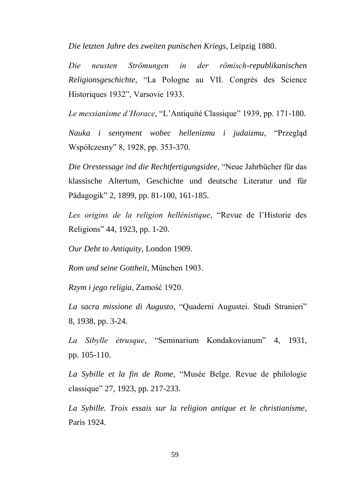*Die letzten Jahre des zweiten punischen Kriegs*, Leipzig 1880.

*Die neusten Strömungen in der römisch-republikanischen Religionsgeschichte*, "La Pologne au VII. Congrès des Science Historiques 1932", Varsovie 1933.

*Le messianisme d'Horace*, "L"Antiquité Classique" 1939, pp. 171-180.

*Nauka i sentyment wobec hellenizmu i judaizmu*, "Przegląd Współczesny" 8, 1928, pp. 353-370.

*Die Orestessage ind die Rechtfertigungsidee*, "Neue Jahrbücher für das klassische Altertum, Geschichte und deutsche Literatur und für Pädagogik" 2, 1899, pp. 81-100, 161-185.

*Les origins de la religion hellénistique*, "Revue de l"Historie des Religions" 44, 1923, pp. 1-20.

*Our Debt to Antiquity*, London 1909.

*Rom und seine Gottheit*, München 1903.

*Rzym i jego religia*, Zamość 1920.

*La sacra missione di Augusto*, "Quaderni Augustei. Studi Stranieri" 8, 1938, pp. 3-24.

*La Sibylle étrusque*, "Seminarium Kondakovianum" 4, 1931, pp. 105-110.

*La Sybille et la fin de Rome*, "Musée Belge. Revue de philologie classique" 27, 1923, pp. 217-233.

*La Sybille. Trois essais sur la religion antique et le christianisme*, Paris 1924.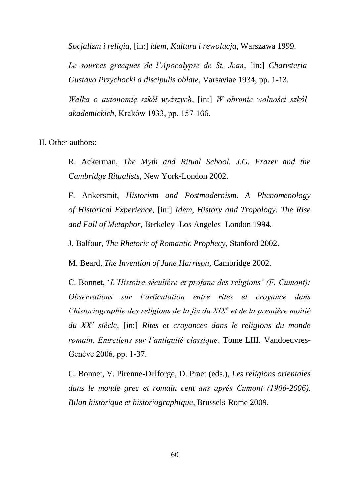*Socjalizm i religia*, [in:] *idem*, *Kultura i rewolucja*, Warszawa 1999.

*Le sources grecques de l'Apocalypse de St. Jean*, [in:] *Charisteria Gustavo Przychocki a discipulis oblate*, Varsaviae 1934, pp. 1-13.

*Walka o autonomię szkół wyższych*, [in:] *W obronie wolności szkół akademickich*, Kraków 1933, pp. 157-166.

II. Other authors:

R. Ackerman, *The Myth and Ritual School. J.G. Frazer and the Cambridge Ritualists*, New York-London 2002.

F. Ankersmit, *Historism and Postmodernism. A Phenomenology of Historical Experience*, [in:] *Idem*, *History and Tropology. The Rise and Fall of Metaphor*, Berkeley–Los Angeles–London 1994.

J. Balfour, *The Rhetoric of Romantic Prophecy*, Stanford 2002.

M. Beard, *The Invention of Jane Harrison*, Cambridge 2002.

C. Bonnet, "*L'Histoire séculière et profane des religions' (F. Cumont): Observations sur l'articulation entre rites et croyance dans l'historiographie des religions de la fin du XIX<sup>e</sup> et de la première moitié du XX<sup>e</sup> siècle*, [in:] *Rites et croyances dans le religions du monde romain. Entretiens sur l'antiquité classique.* Tome LIII*.* Vandoeuvres-Genève 2006, pp. 1-37.

C. Bonnet, V. Pirenne-Delforge, D. Praet (eds.), *Les religions orientales dans le monde grec et romain cent ans aprés Cumont (1906-2006). Bilan historique et historiographique*, Brussels-Rome 2009.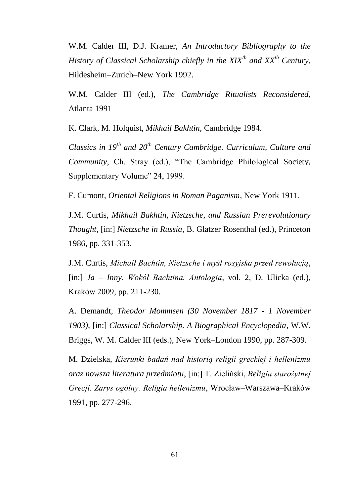W.M. Calder III, D.J. Kramer, *An Introductory Bibliography to the History of Classical Scholarship chiefly in the XIXth and XXth Century*, Hildesheim–Zurich–New York 1992.

W.M. Calder III (ed.), *The Cambridge Ritualists Reconsidered*, Atlanta 1991

K. Clark, M. Holquist, *Mikhail Bakhtin,* Cambridge 1984.

*Classics in 19th and 20th Century Cambridge. Curriculum, Culture and Community*, Ch. Stray (ed.), "The Cambridge Philological Society, Supplementary Volume" 24, 1999.

F. Cumont, *Oriental Religions in Roman Paganism*, New York 1911.

J.M. Curtis, *Mikhail Bakhtin, Nietzsche, and Russian Prerevolutionary Thought*, [in:] *Nietzsche in Russia*, B. Glatzer Rosenthal (ed.), Princeton 1986, pp. 331-353.

J.M. Curtis, *Michaił Bachtin, Nietzsche i myśl rosyjska przed rewolucją*, [in:] *Ja – Inny. Wokół Bachtina. Antologia*, vol. 2, D. Ulicka (ed.), Kraków 2009, pp. 211-230.

A. Demandt, *Theodor Mommsen (30 November 1817 - 1 November 1903)*, [in:] *Classical Scholarship. A Biographical Encyclopedia*, W.W. Briggs, W. M. Calder III (eds.), New York–London 1990, pp. 287-309.

M. Dzielska, *Kierunki badań nad historią religii greckiej i hellenizmu oraz nowsza literatura przedmiotu*, [in:] T. Zieliński, *Religia starożytnej Grecji. Zarys ogólny. Religia hellenizmu*, Wrocław–Warszawa–Kraków 1991, pp. 277-296.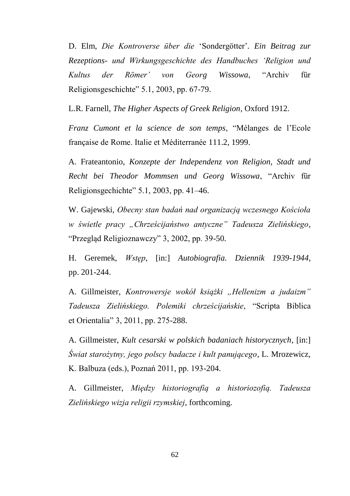D. Elm, *Die Kontroverse über die* ʻSondergötter"*. Ein Beitrag zur Rezeptions- und Wirkungsgeschichte des Handbuches ʻReligion und Kultus der Römer' von Georg Wissowa*, "Archiv für Religionsgeschichte" 5.1, 2003, pp. 67-79.

L.R. Farnell, *The Higher Aspects of Greek Religion*, Oxford 1912.

*Franz Cumont et la science de son temps*, "Mélanges de l"Ecole française de Rome. Italie et Méditerranée 111.2, 1999.

A. Frateantonio, *Konzepte der Independenz von Religion, Stadt und Recht bei Theodor Mommsen und Georg Wissowa*, "Archiv für Religionsgechichte" 5.1, 2003, pp. 41–46.

W. Gajewski, *Obecny stan badań nad organizacją wczesnego Kościoła w świetle pracy "Chrześcijaństwo antyczne" Tadeusza Zielińskiego*, "Przegląd Religioznawczy" 3, 2002, pp. 39-50.

H. Geremek, *Wstęp*, [in:] *Autobiografia. Dziennik 1939-1944*, pp. 201-244.

A. Gillmeister, *Kontrowersje wokół książki "Hellenizm a judaizm" Tadeusza Zielińskiego. Polemiki chrześcijańskie*, "Scripta Biblica et Orientalia" 3, 2011, pp. 275-288.

A. Gillmeister, *Kult cesarski w polskich badaniach historycznych*, [in:] *Świat starożytny, jego polscy badacze i kult panującego*, L. Mrozewicz, K. Balbuza (eds.), Poznań 2011, pp. 193-204.

A. Gillmeister, *Między historiografią a historiozofią. Tadeusza Zielińskiego wizja religii rzymskiej*, forthcoming.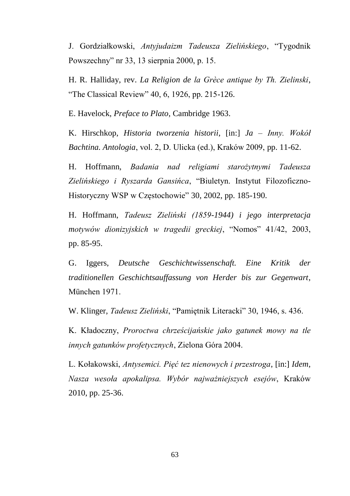J. Gordziałkowski, *Antyjudaizm Tadeusza Zielińskiego*, "Tygodnik Powszechny" nr 33, 13 sierpnia 2000, p. 15.

H. R. Halliday, rev. *La Religion de la Grèce antique by Th. Zielinski*, "The Classical Review" 40, 6, 1926, pp. 215-126.

E. Havelock, *Preface to Plato*, Cambridge 1963.

K. Hirschkop, *Historia tworzenia historii*, [in:] *Ja – Inny. Wokół Bachtina. Antologia*, vol. 2, D. Ulicka (ed.), Kraków 2009, pp. 11-62.

H. Hoffmann, *Badania nad religiami starożytnymi Tadeusza Zielińskiego i Ryszarda Gansińca*, "Biuletyn. Instytut Filozoficzno-Historyczny WSP w Częstochowie" 30, 2002, pp. 185-190.

H. Hoffmann, *Tadeusz Zieliński (1859-1944) i jego interpretacja motywów dionizyjskich w tragedii greckiej*, "Nomos" 41/42, 2003, pp. 85-95.

G. Iggers, *Deutsche Geschichtwissenschaft. Eine Kritik der traditionellen Geschichtsauffassung von Herder bis zur Gegenwart*, München 1971.

W. Klinger, *Tadeusz Zieliński*, "Pamiętnik Literacki" 30, 1946, s. 436.

K. Kładoczny, *Proroctwa chrześcijańskie jako gatunek mowy na tle innych gatunków profetycznych*, Zielona Góra 2004.

L. Kołakowski, *Antysemici. Pięć tez nienowych i przestroga*, [in:] *Idem*, *Nasza wesoła apokalipsa. Wybór najważniejszych esejów*, Kraków 2010, pp. 25-36.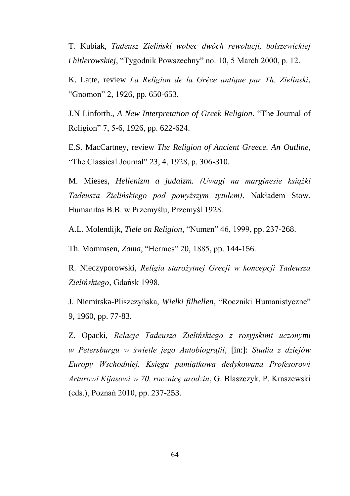T. Kubiak, *Tadeusz Zieliński wobec dwóch rewolucji, bolszewickiej i hitlerowskiej*, "Tygodnik Powszechny" no. 10, 5 March 2000, p. 12.

K. Latte, review *La Religion de la Grèce antique par Th. Zielinski*, "Gnomon" 2, 1926, pp. 650-653.

J.N Linforth., *A New Interpretation of Greek Religion*, "The Journal of Religion" 7, 5-6, 1926, pp. 622-624.

E.S. MacCartney, review *The Religion of Ancient Greece. An Outline*, "The Classical Journal" 23, 4, 1928, p. 306-310.

M. Mieses, *Hellenizm a judaizm. (Uwagi na marginesie książki Tadeusza Zielińskiego pod powyższym tytułem)*, Nakładem Stow. Humanitas B.B. w Przemyślu, Przemyśl 1928.

A.L. Molendijk, *Tiele on Religion*, "Numen" 46, 1999, pp. 237-268.

Th. Mommsen, *Zama*, "Hermes" 20, 1885, pp. 144-156.

R. Nieczyporowski, *Religia starożytnej Grecji w koncepcji Tadeusza Zielińskiego*, Gdańsk 1998.

J. Niemirska-Pliszczyńska, *Wielki filhellen*, "Roczniki Humanistyczne" 9, 1960, pp. 77-83.

Z. Opacki, *Relacje Tadeusza Zielińskiego z rosyjskimi uczonymi w Petersburgu w świetle jego Autobiografii*, [in:]: *Studia z dziejów Europy Wschodniej. Księga pamiątkowa dedykowana Profesorowi Arturowi Kijasowi w 70. rocznicę urodzin*, G. Błaszczyk, P. Kraszewski (eds.), Poznań 2010, pp. 237-253.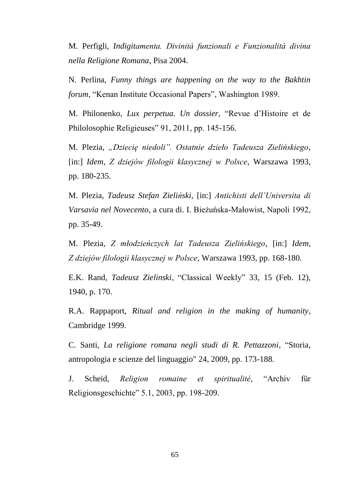M. Perfigli, *Indigitamenta. Divinità funzionali e Funzionalità divina nella Religione Romana*, Pisa 2004.

N. Perlina, *Funny things are happening on the way to the Bakhtin forum*, "Kenan Institute Occasional Papers", Washington 1989.

M. Philonenko, *Lux perpetua. Un dossier*, "Revue d"Histoire et de Philolosophie Religieuses" 91, 2011, pp. 145-156.

M. Plezia, *"Dziecię niedoli". Ostatnie dzieło Tadeusza Zielińskiego*, [in:] *Idem*, *Z dziejów filologii klasycznej w Polsce*, Warszawa 1993, pp. 180-235.

M. Plezia, *Tadeusz Stefan Zieliński*, [in:] *Antichisti dell'Universita di Varsavia nel Novecento*, a cura di. I. Bieżuńska-Małowist, Napoli 1992, pp. 35-49.

M. Plezia, *Z młodzieńczych lat Tadeusza Zielińskiego*, [in:] *Idem*, *Z dziejów filologii klasycznej w Polsce*, Warszawa 1993, pp. 168-180.

E.K. Rand, *Tadeusz Zielinski*, "Classical Weekly" 33, 15 (Feb. 12), 1940, p. 170.

R.A. Rappaport, *Ritual and religion in the making of humanity*, Cambridge 1999.

C. Santi, *La religione romana negli studi di R. Pettazzoni*, "Storia, antropologia e scienze del linguaggio" 24, 2009, pp. 173-188.

J. Scheid, *Religion romaine et spiritualité*, "Archiv für Religionsgeschichte" 5.1, 2003, pp. 198-209.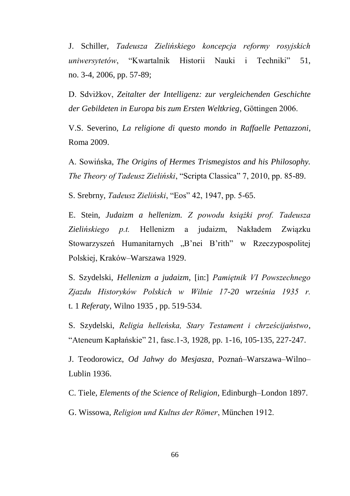J. Schiller, *Tadeusza Zielińskiego koncepcja reformy rosyjskich uniwersytetów*, "Kwartalnik Historii Nauki i Techniki" 51, no. 3-4, 2006, pp. 57-89;

D. Sdvižkov, *Zeitalter der Intelligenz: zur vergleichenden Geschichte der Gebildeten in Europa bis zum Ersten Weltkrieg*, Göttingen 2006.

V.S. Severino, *La religione di questo mondo in Raffaelle Pettazzoni*, Roma 2009.

A. Sowińska, *The Origins of Hermes Trismegistos and his Philosophy. The Theory of Tadeusz Zieliński*, "Scripta Classica" 7, 2010, pp. 85-89.

S. Srebrny, *Tadeusz Zieliński*, "Eos" 42, 1947, pp. 5-65.

E. Stein, *Judaizm a hellenizm. Z powodu książki prof. Tadeusza Zielińskiego p.t.* Hellenizm a judaizm, Nakładem Związku Stowarzyszeń Humanitarnych "B'nei B'rith" w Rzeczypospolitej Polskiej, Kraków–Warszawa 1929.

S. Szydelski, *Hellenizm a judaizm*, [in:] *Pamiętnik VI Powszechnego Zjazdu Historyków Polskich w Wilnie 17-20 września 1935 r.* t. 1 *Referaty*, Wilno 1935 , pp. 519-534.

S. Szydelski, *Religia helleńska, Stary Testament i chrześcijaństwo*, "Ateneum Kapłańskie" 21, fasc.1-3, 1928, pp. 1-16, 105-135, 227-247.

J. Teodorowicz, *Od Jahwy do Mesjasza*, Poznań–Warszawa–Wilno– Lublin 1936.

C. Tiele, *Elements of the Science of Religion*, Edinburgh–London 1897.

G. Wissowa, *Religion und Kultus der Römer*, München 1912.